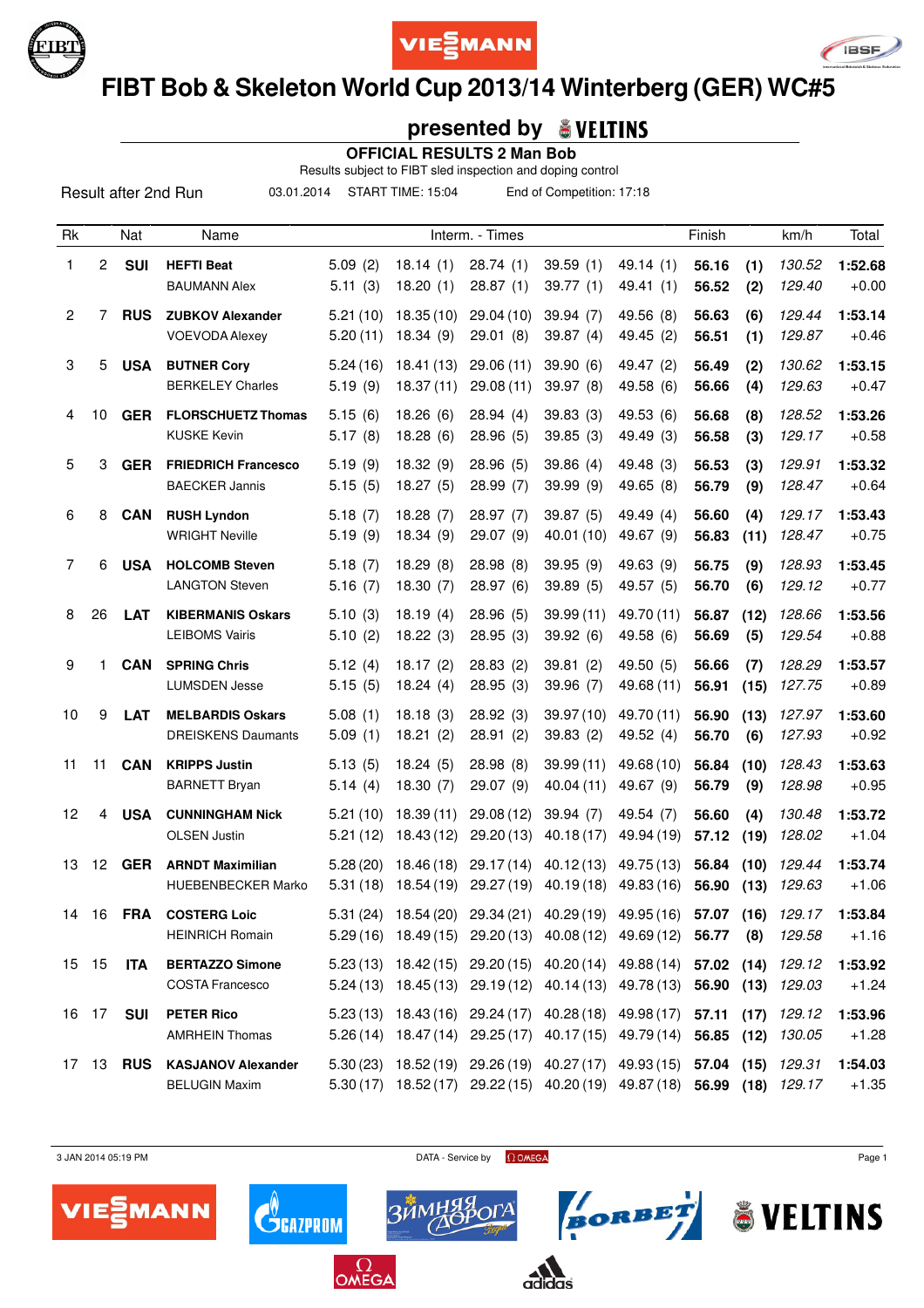





# **FIBT Bob & Skeleton World Cup 2013/14 Winterberg (GER) WC#5**

### **presented by**

 **OFFICIAL RESULTS 2 Man Bob**

Results subject to FIBT sled inspection and doping control

03.01.2014 START TIME: 15:04 End of Competition: 17:18

| Rk             |                 | Nat              | Name                                                 |                      |                          | Interm. - Times         |                                                                                                                                                    |                          | Finish         |              | km/h              | Total              |
|----------------|-----------------|------------------|------------------------------------------------------|----------------------|--------------------------|-------------------------|----------------------------------------------------------------------------------------------------------------------------------------------------|--------------------------|----------------|--------------|-------------------|--------------------|
| 1              | $\overline{c}$  | <b>SUI</b>       | <b>HEFTI Beat</b><br><b>BAUMANN Alex</b>             | 5.09(2)<br>5.11(3)   | 18.14(1)<br>18.20(1)     | 28.74(1)<br>28.87(1)    | 39.59(1)<br>39.77(1)                                                                                                                               | 49.14(1)<br>49.41 (1)    | 56.16<br>56.52 | (1)<br>(2)   | 130.52<br>129.40  | 1:52.68<br>$+0.00$ |
| $\overline{c}$ | 7               | <b>RUS</b>       | <b>ZUBKOV Alexander</b><br><b>VOEVODA Alexey</b>     | 5.21(10)<br>5.20(11) | 18.35(10)<br>18.34(9)    | 29.04 (10)<br>29.01(8)  | 39.94(7)<br>39.87(4)                                                                                                                               | 49.56 (8)<br>49.45 (2)   | 56.63<br>56.51 | (6)<br>(1)   | 129.44<br>129.87  | 1:53.14<br>$+0.46$ |
| 3              |                 | 5 USA            | <b>BUTNER Cory</b><br><b>BERKELEY Charles</b>        | 5.24(16)<br>5.19(9)  | 18.41 (13)<br>18.37(11)  | 29.06(11)<br>29.08 (11) | 39.90(6)<br>39.97 (8)                                                                                                                              | 49.47 (2)<br>49.58 (6)   | 56.49<br>56.66 | (2)<br>(4)   | 130.62<br>129.63  | 1:53.15<br>$+0.47$ |
| 4              | 10              | <b>GER</b>       | <b>FLORSCHUETZ Thomas</b><br><b>KUSKE Kevin</b>      | 5.15(6)<br>5.17(8)   | 18.26(6)<br>18.28(6)     | 28.94(4)<br>28.96(5)    | 39.83(3)<br>39.85(3)                                                                                                                               | 49.53 (6)<br>49.49 (3)   | 56.68<br>56.58 | (8)<br>(3)   | 128.52<br>129.17  | 1:53.26<br>$+0.58$ |
| 5              | 3               | <b>GER</b>       | <b>FRIEDRICH Francesco</b><br><b>BAECKER Jannis</b>  | 5.19(9)<br>5.15(5)   | 18.32(9)<br>18.27(5)     | 28.96(5)<br>28.99 (7)   | 39.86(4)<br>39.99 (9)                                                                                                                              | 49.48 (3)<br>49.65 (8)   | 56.53<br>56.79 | (3)<br>(9)   | 129.91<br>128.47  | 1:53.32<br>$+0.64$ |
| 6              | 8               | <b>CAN</b>       | <b>RUSH Lyndon</b><br><b>WRIGHT Neville</b>          | 5.18(7)<br>5.19(9)   | 18.28(7)<br>18.34(9)     | 28.97(7)<br>29.07 (9)   | 39.87(5)<br>40.01 (10)                                                                                                                             | 49.49 (4)<br>49.67 (9)   | 56.60<br>56.83 | (4)<br>(11)  | 129.17<br>128.47  | 1:53.43<br>$+0.75$ |
| $\overline{7}$ | 6               | <b>USA</b>       | <b>HOLCOMB Steven</b><br><b>LANGTON Steven</b>       | 5.18(7)<br>5.16(7)   | 18.29(8)<br>18.30(7)     | 28.98(8)<br>28.97(6)    | 39.95 (9)<br>39.89 (5)                                                                                                                             | 49.63 (9)<br>49.57 (5)   | 56.75<br>56.70 | (9)<br>(6)   | 128.93<br>129.12  | 1:53.45<br>$+0.77$ |
| 8              | 26              | <b>LAT</b>       | <b>KIBERMANIS Oskars</b><br><b>LEIBOMS Vairis</b>    | 5.10(3)<br>5.10(2)   | 18.19(4)<br>18.22(3)     | 28.96(5)<br>28.95(3)    | 39.99 (11)<br>39.92 (6)                                                                                                                            | 49.70 (11)<br>49.58 (6)  | 56.87<br>56.69 | (12)<br>(5)  | 128.66<br>129.54  | 1:53.56<br>$+0.88$ |
| 9              | 1               | <b>CAN</b>       | <b>SPRING Chris</b><br><b>LUMSDEN Jesse</b>          | 5.12(4)<br>5.15(5)   | 18.17(2)<br>18.24(4)     | 28.83(2)<br>28.95(3)    | 39.81(2)<br>39.96 (7)                                                                                                                              | 49.50 (5)<br>49.68 (11)  | 56.66<br>56.91 | (7)<br>(15)  | 128.29<br>127.75  | 1:53.57<br>$+0.89$ |
| 10             | 9               | <b>LAT</b>       | <b>MELBARDIS Oskars</b><br><b>DREISKENS Daumants</b> | 5.08(1)<br>5.09(1)   | 18.18(3)<br>18.21(2)     | 28.92(3)<br>28.91(2)    | 39.97(10)<br>39.83(2)                                                                                                                              | 49.70 (11)<br>49.52 (4)  | 56.90<br>56.70 | (13)<br>(6)  | 127.97<br>127.93  | 1:53.60<br>$+0.92$ |
| 11             | 11              | <b>CAN</b>       | <b>KRIPPS Justin</b><br><b>BARNETT Bryan</b>         | 5.13(5)<br>5.14(4)   | 18.24(5)<br>18.30(7)     | 28.98(8)<br>29.07 (9)   | 39.99(11)<br>40.04 (11)                                                                                                                            | 49.68 (10)<br>49.67 (9)  | 56.84<br>56.79 | (10)<br>(9)  | 128.43<br>128.98  | 1:53.63<br>$+0.95$ |
| 12             | 4               | <b>USA</b>       | <b>CUNNINGHAM Nick</b><br><b>OLSEN Justin</b>        | 5.21(10)<br>5.21(12) | 18.39(11)<br>18.43 (12)  | 29.08(12)<br>29.20 (13) | 39.94(7)<br>40.18(17)                                                                                                                              | 49.54 (7)<br>49.94 (19)  | 56.60<br>57.12 | (4)<br>(19)  | 130.48<br>128.02  | 1:53.72<br>$+1.04$ |
| 13             | 12 <sup>°</sup> | <b>GER</b>       | <b>ARNDT Maximilian</b><br><b>HUEBENBECKER Marko</b> | 5.28(20)<br>5.31(18) | 18.46 (18)<br>18.54 (19) | 29.17(14)<br>29.27(19)  | 40.12(13)<br>40.19 (18)                                                                                                                            | 49.75 (13)<br>49.83 (16) | 56.84<br>56.90 | (10)<br>(13) | 129.44<br>129.63  | 1:53.74<br>$+1.06$ |
| 14             | 16              | <b>FRA</b>       | <b>COSTERG Loic</b><br><b>HEINRICH Romain</b>        |                      |                          |                         | 5.31 (24) 18.54 (20) 29.34 (21) 40.29 (19) 49.95 (16)<br>5.29 (16) 18.49 (15) 29.20 (13) 40.08 (12) 49.69 (12) 56.77 (8) 129.58                    |                          |                |              | 57.07 (16) 129.17 | 1:53.84<br>$+1.16$ |
|                | 15 15           | <b>ITA</b>       | <b>BERTAZZO Simone</b><br><b>COSTA Francesco</b>     |                      |                          |                         | 5.23 (13) 18.42 (15) 29.20 (15) 40.20 (14) 49.88 (14) 57.02 (14) 129.12<br>5.24 (13) 18.45 (13) 29.19 (12) 40.14 (13) 49.78 (13) 56.90 (13) 129.03 |                          |                |              |                   | 1:53.92<br>$+1.24$ |
|                | 16 17           | SUI              | <b>PETER Rico</b><br><b>AMRHEIN Thomas</b>           |                      |                          |                         | 5.23 (13) 18.43 (16) 29.24 (17) 40.28 (18) 49.98 (17) 57.11 (17) 129.12<br>5.26(14) 18.47(14) 29.25(17) 40.17(15) 49.79(14) 56.85 (12) 130.05      |                          |                |              |                   | 1:53.96<br>$+1.28$ |
|                |                 | 17 13 <b>RUS</b> | <b>KASJANOV Alexander</b><br><b>BELUGIN Maxim</b>    |                      |                          |                         | $5.30(23)$ 18.52 (19) 29.26 (19) 40.27 (17) 49.93 (15) 57.04 (15)<br>5.30 (17) 18.52 (17) 29.22 (15) 40.20 (19) 49.87 (18) 56.99 (18) 129.17       |                          |                |              | 129.31            | 1:54.03<br>$+1.35$ |

 $3$  JAN 2014 05:19 PM Page 1

BORBET

& VELTINS



 $\mathbf{C}^{\!\scriptscriptstyle (\!\varsigma\!)}_{\!\scriptscriptstyle\mathsf{GALPROM}}$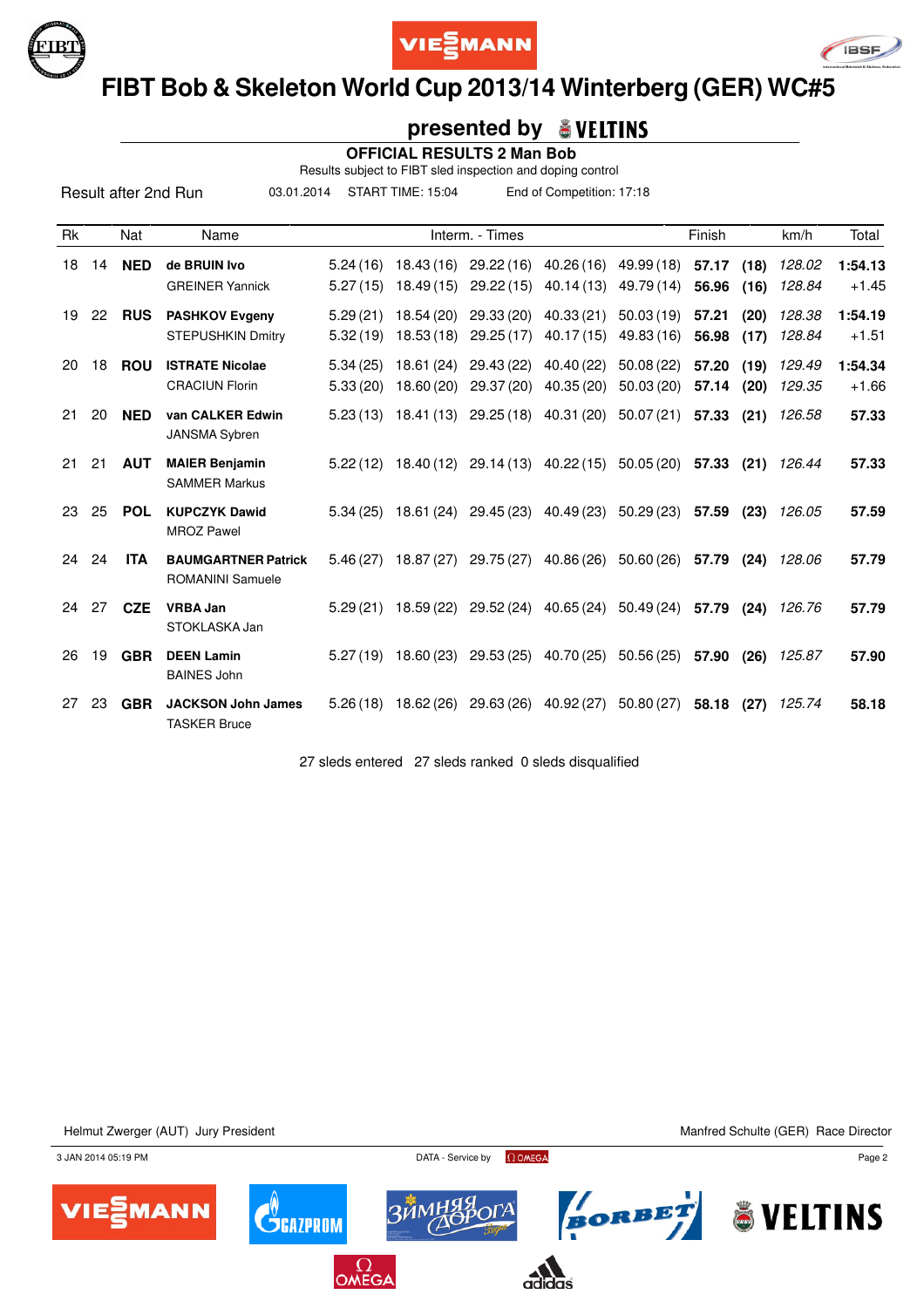





### **FIBT Bob & Skeleton World Cup 2013/14 Winterberg (GER) WC#5**

#### **presented by**

 **OFFICIAL RESULTS 2 Man Bob**

Results subject to FIBT sled inspection and doping control

03.01.2014 START TIME: 15:04 End of Competition: 17:18

| <b>Rk</b> |    | Nat        | Name                                                  |                      |                          | Interm. - Times                  |                          |                          | Finish         |              | km/h             | Total              |
|-----------|----|------------|-------------------------------------------------------|----------------------|--------------------------|----------------------------------|--------------------------|--------------------------|----------------|--------------|------------------|--------------------|
| 18        | 14 | <b>NED</b> | de BRUIN Ivo<br><b>GREINER Yannick</b>                | 5.24(16)<br>5.27(15) | 18.43 (16)<br>18.49 (15) | 29.22(16)<br>29.22(15)           | 40.26(16)<br>40.14 (13)  | 49.99 (18)<br>49.79 (14) | 57.17<br>56.96 | (18)<br>(16) | 128.02<br>128.84 | 1:54.13<br>$+1.45$ |
| 19        | 22 | <b>RUS</b> | <b>PASHKOV Evgeny</b><br><b>STEPUSHKIN Dmitry</b>     | 5.29(21)<br>5.32(19) | 18.54 (20)<br>18.53 (18) | 29.33(20)<br>29.25(17)           | 40.33(21)<br>40.17(15)   | 50.03(19)<br>49.83 (16)  | 57.21<br>56.98 | (20)<br>(17) | 128.38<br>128.84 | 1:54.19<br>$+1.51$ |
| 20        | 18 | <b>ROU</b> | <b>ISTRATE Nicolae</b><br><b>CRACIUN Florin</b>       | 5.34(25)<br>5.33(20) | 18.61 (24)<br>18.60 (20) | 29.43 (22)<br>29.37 (20)         | 40.40 (22)<br>40.35 (20) | 50.08(22)<br>50.03(20)   | 57.20<br>57.14 | (19)<br>(20) | 129.49<br>129.35 | 1:54.34<br>$+1.66$ |
| 21        | 20 | <b>NED</b> | van CALKER Edwin<br><b>JANSMA Sybren</b>              | 5.23(13)             | 18.41 (13)               |                                  | 29.25 (18) 40.31 (20)    | 50.07(21)                | 57.33          | (21)         | 126.58           | 57.33              |
| 21        | 21 | <b>AUT</b> | <b>MAIER Benjamin</b><br><b>SAMMER Markus</b>         | 5.22(12)             |                          | 18.40 (12) 29.14 (13) 40.22 (15) |                          | 50.05 (20)               | 57.33          | (21)         | 126.44           | 57.33              |
| 23        | 25 | <b>POL</b> | <b>KUPCZYK Dawid</b><br><b>MROZ Pawel</b>             | 5.34(25)             | 18.61 (24)               | 29.45 (23)                       | 40.49 (23)               | 50.29(23)                | 57.59          | (23)         | 126.05           | 57.59              |
| 24        | 24 | <b>ITA</b> | <b>BAUMGARTNER Patrick</b><br><b>ROMANINI Samuele</b> | 5.46(27)             | 18.87(27)                | 29.75 (27)                       | 40.86 (26)               | 50.60(26)                | 57.79          | (24)         | 128.06           | 57.79              |
| 24        | 27 | <b>CZE</b> | <b>VRBA Jan</b><br>STOKLASKA Jan                      | 5.29(21)             | 18.59 (22)               | 29.52(24)                        | 40.65(24)                | 50.49(24)                | 57.79          | (24)         | 126.76           | 57.79              |
| 26        | 19 | <b>GBR</b> | <b>DEEN Lamin</b><br><b>BAINES John</b>               | 5.27(19)             | 18.60 (23)               |                                  | 29.53 (25) 40.70 (25)    | 50.56 (25)               | 57.90          | (26)         | 125.87           | 57.90              |
| 27        | 23 | <b>GBR</b> | <b>JACKSON John James</b><br><b>TASKER Bruce</b>      | 5.26(18)             | 18.62 (26)               | 29.63 (26)                       | 40.92 (27)               | 50.80(27)                | 58.18          | (27)         | 125.74           | 58.18              |

27 sleds entered 27 sleds ranked 0 sleds disqualified

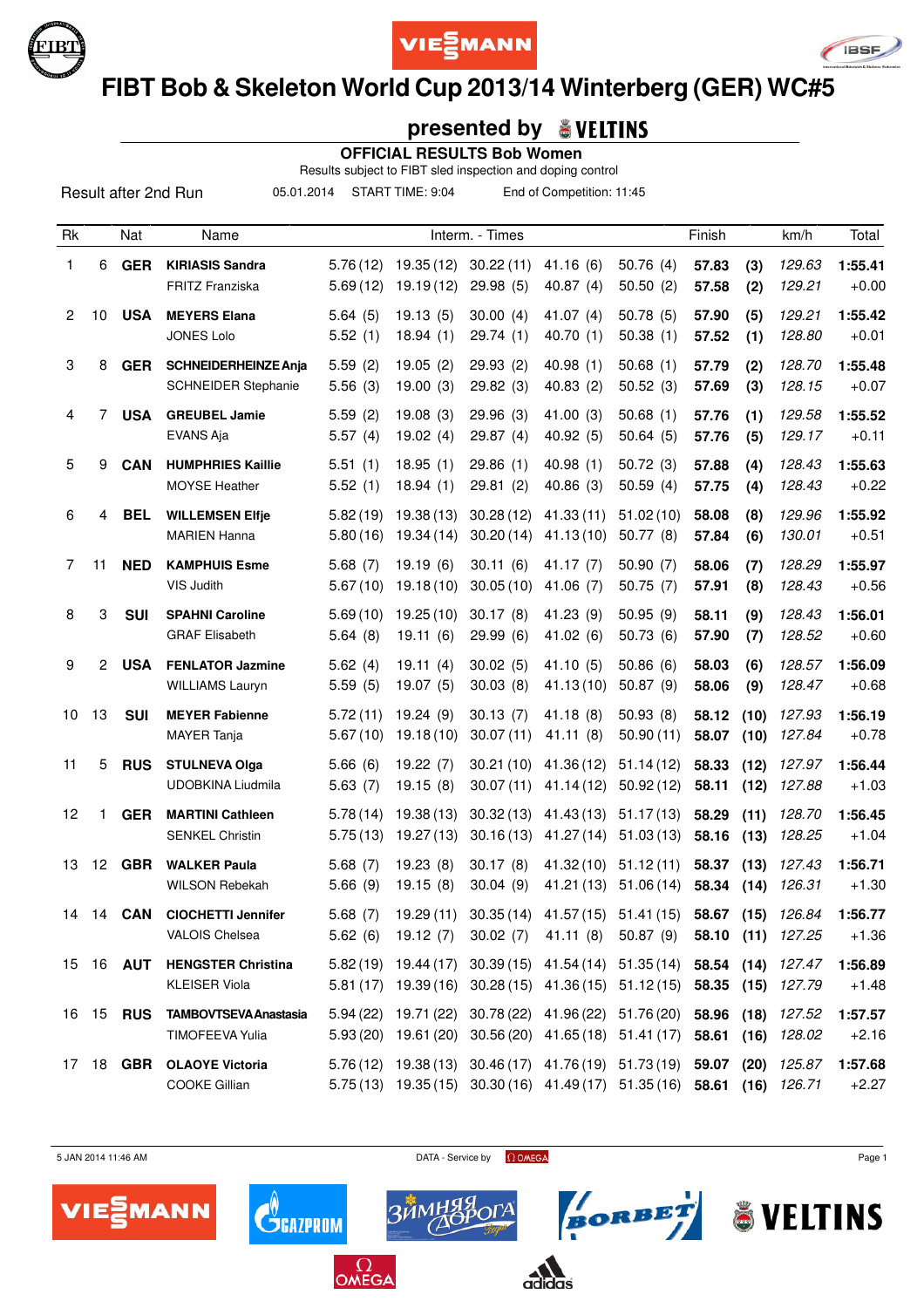





# **FIBT Bob & Skeleton World Cup 2013/14 Winterberg (GER) WC#5**

### **presented by**

 **OFFICIAL RESULTS Bob Women**

Results subject to FIBT sled inspection and doping control

05.01.2014 START TIME: 9:04 End of Competition: 11:45

| Rk             |       | Nat              | Name                                                      |                      |                                                | Interm. - Times        |                                                                                                                                               |                        | Finish         |              | km/h                        | Total              |
|----------------|-------|------------------|-----------------------------------------------------------|----------------------|------------------------------------------------|------------------------|-----------------------------------------------------------------------------------------------------------------------------------------------|------------------------|----------------|--------------|-----------------------------|--------------------|
| 1              | 6     | <b>GER</b>       | <b>KIRIASIS Sandra</b><br>FRITZ Franziska                 | 5.76(12)<br>5.69(12) | 19.35(12)<br>19.19(12)                         | 30.22(11)<br>29.98(5)  | 41.16(6)<br>40.87(4)                                                                                                                          | 50.76(4)<br>50.50(2)   | 57.83<br>57.58 | (3)<br>(2)   | 129.63<br>129.21            | 1:55.41<br>$+0.00$ |
| $\overline{2}$ | 10    | <b>USA</b>       | <b>MEYERS Elana</b><br><b>JONES Lolo</b>                  | 5.64(5)<br>5.52(1)   | 19.13(5)<br>18.94(1)                           | 30.00(4)<br>29.74(1)   | 41.07 $(4)$<br>40.70(1)                                                                                                                       | 50.78(5)<br>50.38(1)   | 57.90<br>57.52 | (5)<br>(1)   | 129.21<br>128.80            | 1:55.42<br>$+0.01$ |
| 3              | 8     | <b>GER</b>       | <b>SCHNEIDERHEINZE Anja</b><br><b>SCHNEIDER Stephanie</b> | 5.59(2)<br>5.56(3)   | 19.05(2)<br>19.00(3)                           | 29.93(2)<br>29.82(3)   | 40.98(1)<br>40.83(2)                                                                                                                          | 50.68(1)<br>50.52(3)   | 57.79<br>57.69 | (2)<br>(3)   | 128.70<br>128.15            | 1:55.48<br>$+0.07$ |
| 4              | 7     | <b>USA</b>       | <b>GREUBEL Jamie</b><br><b>EVANS Aja</b>                  | 5.59(2)<br>5.57(4)   | 19.08(3)<br>19.02(4)                           | 29.96(3)<br>29.87(4)   | 41.00(3)<br>40.92 (5)                                                                                                                         | 50.68(1)<br>50.64(5)   | 57.76<br>57.76 | (1)<br>(5)   | 129.58<br>129.17            | 1:55.52<br>$+0.11$ |
| 5              | 9     | <b>CAN</b>       | <b>HUMPHRIES Kaillie</b><br><b>MOYSE Heather</b>          | 5.51(1)<br>5.52(1)   | 18.95(1)<br>18.94(1)                           | 29.86(1)<br>29.81(2)   | 40.98(1)<br>40.86(3)                                                                                                                          | 50.72(3)<br>50.59(4)   | 57.88<br>57.75 | (4)<br>(4)   | 128.43<br>128.43            | 1:55.63<br>$+0.22$ |
| 6              | 4     | <b>BEL</b>       | <b>WILLEMSEN Elfje</b><br><b>MARIEN Hanna</b>             | 5.82(19)<br>5.80(16) | 19.38(13)<br>19.34 (14)                        | 30.28(12)<br>30.20(14) | 41.33(11)<br>41.13(10)                                                                                                                        | 51.02(10)<br>50.77(8)  | 58.08<br>57.84 | (8)<br>(6)   | 129.96<br>130.01            | 1:55.92<br>$+0.51$ |
| 7              | 11    | <b>NED</b>       | <b>KAMPHUIS Esme</b><br>VIS Judith                        | 5.68(7)<br>5.67(10)  | 19.19(6)<br>19.18(10)                          | 30.11(6)<br>30.05(10)  | 41.17(7)<br>41.06(7)                                                                                                                          | 50.90(7)<br>50.75(7)   | 58.06<br>57.91 | (7)<br>(8)   | 128.29<br>128.43            | 1:55.97<br>$+0.56$ |
| 8              | 3     | <b>SUI</b>       | <b>SPAHNI Caroline</b><br><b>GRAF Elisabeth</b>           | 5.69(10)<br>5.64(8)  | 19.25(10)<br>19.11(6)                          | 30.17(8)<br>29.99(6)   | 41.23(9)<br>41.02(6)                                                                                                                          | 50.95(9)<br>50.73(6)   | 58.11<br>57.90 | (9)<br>(7)   | 128.43<br>128.52            | 1:56.01<br>$+0.60$ |
| 9              | 2     | <b>USA</b>       | <b>FENLATOR Jazmine</b><br><b>WILLIAMS Lauryn</b>         | 5.62(4)<br>5.59(5)   | 19.11(4)<br>19.07(5)                           | 30.02(5)<br>30.03(8)   | 41.10(5)<br>41.13 (10)                                                                                                                        | 50.86(6)<br>50.87(9)   | 58.03<br>58.06 | (6)<br>(9)   | 128.57<br>128.47            | 1:56.09<br>$+0.68$ |
| 10             | 13    | <b>SUI</b>       | <b>MEYER Fabienne</b><br><b>MAYER</b> Tanja               | 5.72(11)<br>5.67(10) | 19.24(9)<br>19.18(10)                          | 30.13(7)<br>30.07(11)  | 41.18(8)<br>41.11(8)                                                                                                                          | 50.93(8)<br>50.90(11)  | 58.12<br>58.07 | (10)<br>(10) | 127.93<br>127.84            | 1:56.19<br>$+0.78$ |
| 11             | 5     | <b>RUS</b>       | <b>STULNEVA Olga</b><br>UDOBKINA Liudmila                 | 5.66(6)<br>5.63(7)   | 19.22(7)<br>19.15(8)                           | 30.21(10)<br>30.07(11) | 41.36(12)<br>41.14(12)                                                                                                                        | 51.14(12)<br>50.92(12) | 58.33<br>58.11 | (12)<br>(12) | 127.97<br>127.88            | 1:56.44<br>$+1.03$ |
| 12             | 1     | <b>GER</b>       | <b>MARTINI Cathleen</b><br><b>SENKEL Christin</b>         | 5.78(14)<br>5.75(13) | 19.38(13)<br>19.27 (13)                        | 30.32(13)<br>30.16(13) | 41.43 (13)<br>41.27 (14)                                                                                                                      | 51.17(13)<br>51.03(13) | 58.29<br>58.16 | (11)<br>(13) | 128.70<br>128.25            | 1:56.45<br>$+1.04$ |
| 13             | 12    | <b>GBR</b>       | <b>WALKER Paula</b><br><b>WILSON Rebekah</b>              | 5.68(7)<br>5.66(9)   | 19.23(8)<br>19.15(8)                           | 30.17(8)<br>30.04(9)   | 41.32(10)<br>41.21 (13)                                                                                                                       | 51.12(11)<br>51.06(14) | 58.37<br>58.34 | (13)<br>(14) | 127.43<br>126.31            | 1:56.71<br>$+1.30$ |
| 14             | 14    | CAN              | <b>CIOCHETTI Jennifer</b><br><b>VALOIS Chelsea</b>        | 5.68(7)<br>5.62(6)   | 19.29(11)<br>19.12(7)                          | 30.02(7)               | $30.35(14)$ 41.57(15) 51.41(15)<br>41.11(8)                                                                                                   | 50.87 (9)              | 58.67          | (15)         | 126.84<br>58.10 (11) 127.25 | 1:56.77<br>$+1.36$ |
|                |       | 15 16 <b>AUT</b> | <b>HENGSTER Christina</b><br><b>KLEISER Viola</b>         |                      | $5.82(19)$ 19.44 (17)<br>$5.81(17)$ 19.39 (16) |                        | 30.39 (15) 41.54 (14) 51.35 (14) 58.54 (14) 127.47<br>$30.28(15)$ 41.36(15) 51.12(15) 58.35 (15)                                              |                        |                |              | 127.79                      | 1:56.89<br>$+1.48$ |
|                | 16 15 | <b>RUS</b>       | <b>TAMBOVTSEVA Anastasia</b><br>TIMOFEEVA Yulia           | 5.94(22)             | 19.71 (22)<br>5.93 (20) 19.61 (20)             |                        | 30.78 (22) 41.96 (22) 51.76 (20) 58.96 (18) 127.52<br>30.56 (20) 41.65 (18) 51.41 (17) 58.61 (16) 128.02                                      |                        |                |              |                             | 1:57.57<br>$+2.16$ |
| 17             |       |                  | 18 GBR OLAOYE Victoria<br>COOKE Gillian                   |                      |                                                |                        | 5.76(12) 19.38(13) 30.46(17) 41.76(19) 51.73(19) 59.07 (20) 125.87<br>5.75 (13) 19.35 (15) 30.30 (16) 41.49 (17) 51.35 (16) 58.61 (16) 126.71 |                        |                |              |                             | 1:57.68<br>$+2.27$ |



 $5$  JAN 2014 11:46 AM Page 1

**BORBET** ÖVELTINS



 $\mathbf{C}^{\!\scriptscriptstyle (\!\varsigma\!)}_{\!\scriptscriptstyle\mathsf{GALPROM}}$ 

 $\Omega_{\mathsf{OMEGA}}$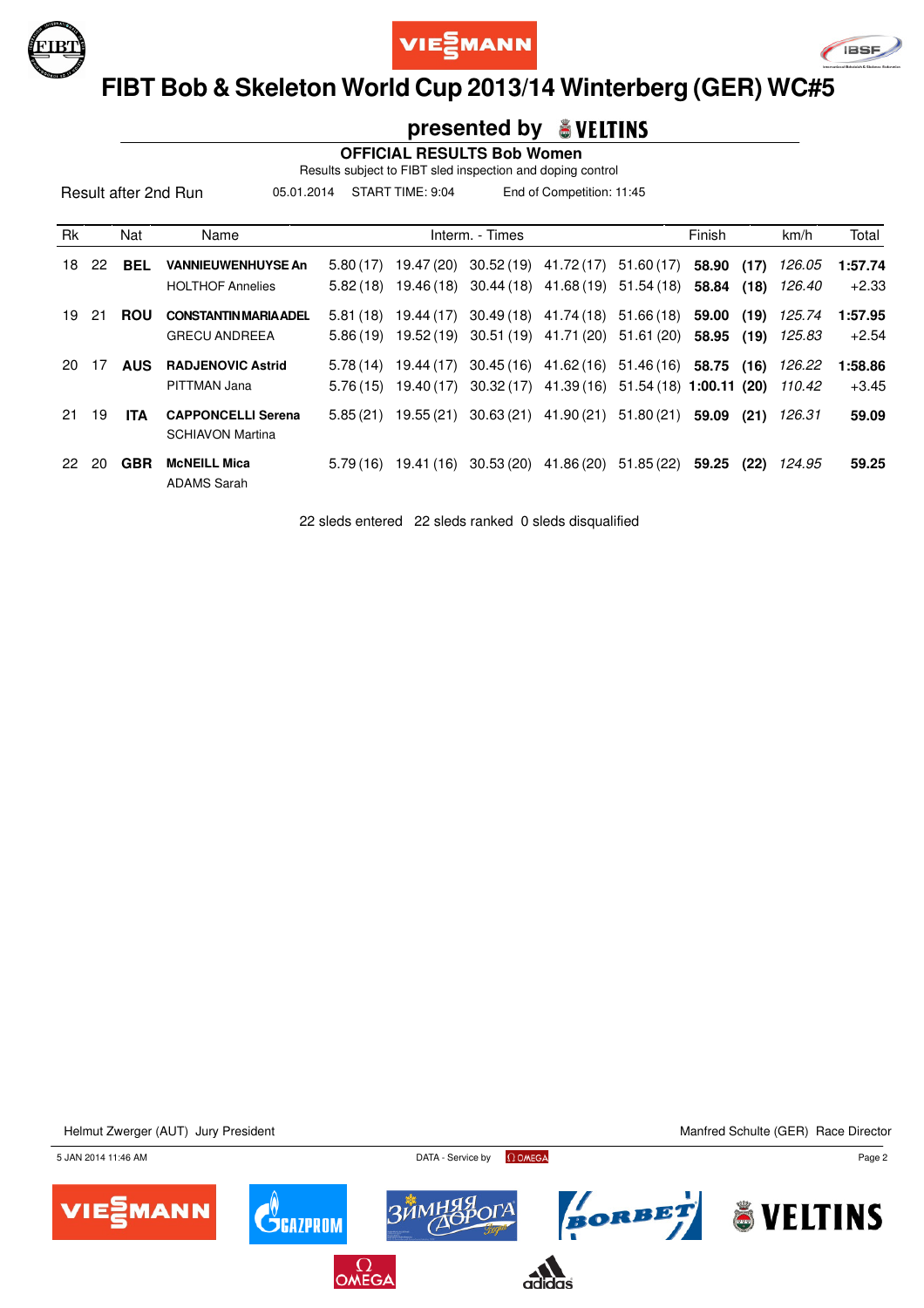





### **FIBT Bob & Skeleton World Cup 2013/14 Winterberg (GER) WC#5**

#### **presented by**

 **OFFICIAL RESULTS Bob Women**

Results subject to FIBT sled inspection and doping control

05.01.2014 START TIME: 9:04 End of Competition: 11:45

| <b>Rk</b> |     | Nat        | Name                                                 |                      |                          | Interm. - Times         |                                     |                                  | Finish         |              | km/h             | Total              |
|-----------|-----|------------|------------------------------------------------------|----------------------|--------------------------|-------------------------|-------------------------------------|----------------------------------|----------------|--------------|------------------|--------------------|
| 18        | -22 | <b>BEL</b> | <b>VANNIEUWENHUYSE An</b><br><b>HOLTHOF Annelies</b> | 5.80(17)<br>5.82(18) | 19.47 (20)<br>19.46 (18) | 30.52(19)<br>30.44 (18) | 41.72 (17)<br>41.68 (19)            | 51.60(17)<br>51.54 (18)          | 58.90<br>58.84 | (17)<br>(18) | 126.05<br>126.40 | 1:57.74<br>$+2.33$ |
| 19        | 21  | <b>ROU</b> | <b>CONSTANTIN MARIA ADEL</b><br><b>GRECU ANDREEA</b> | 5.81(18)<br>5.86(19) | 19.44 (17)<br>19.52 (19) | 30.49 (18)              | 41.74 (18)<br>30.51 (19) 41.71 (20) | 51.66(18)<br>51.61 (20)          | 59.00<br>58.95 | (19)<br>(19) | 125.74<br>125.83 | 1:57.95<br>$+2.54$ |
| 20        | 17  | <b>AUS</b> | <b>RADJENOVIC Astrid</b><br>PITTMAN Jana             | 5.78(14)<br>5.76(15) | 19.44 (17)<br>19.40 (17) | 30.45(16)<br>30.32 (17) | 41.62 (16)<br>41.39 (16)            | 51.46 (16)<br>51.54 (18) 1:00.11 | 58.75          | (16)<br>(20) | 126.22<br>110.42 | 1:58.86<br>$+3.45$ |
| 21        | 19  | ITA.       | <b>CAPPONCELLI Serena</b><br><b>SCHIAVON Martina</b> | 5.85(21)             | 19.55 (21)               | 30.63(21)               | 41.90 (21)                          | 51.80(21)                        | 59.09          | (21)         | 126.31           | 59.09              |
| 22        | 20  | <b>GBR</b> | <b>McNEILL Mica</b><br><b>ADAMS Sarah</b>            | 5.79(16)             | 19.41 (16)               | 30.53(20)               | 41.86 (20)                          | 51.85(22)                        | 59.25          | (22)         | 124.95           | 59.25              |

22 sleds entered 22 sleds ranked 0 sleds disqualified

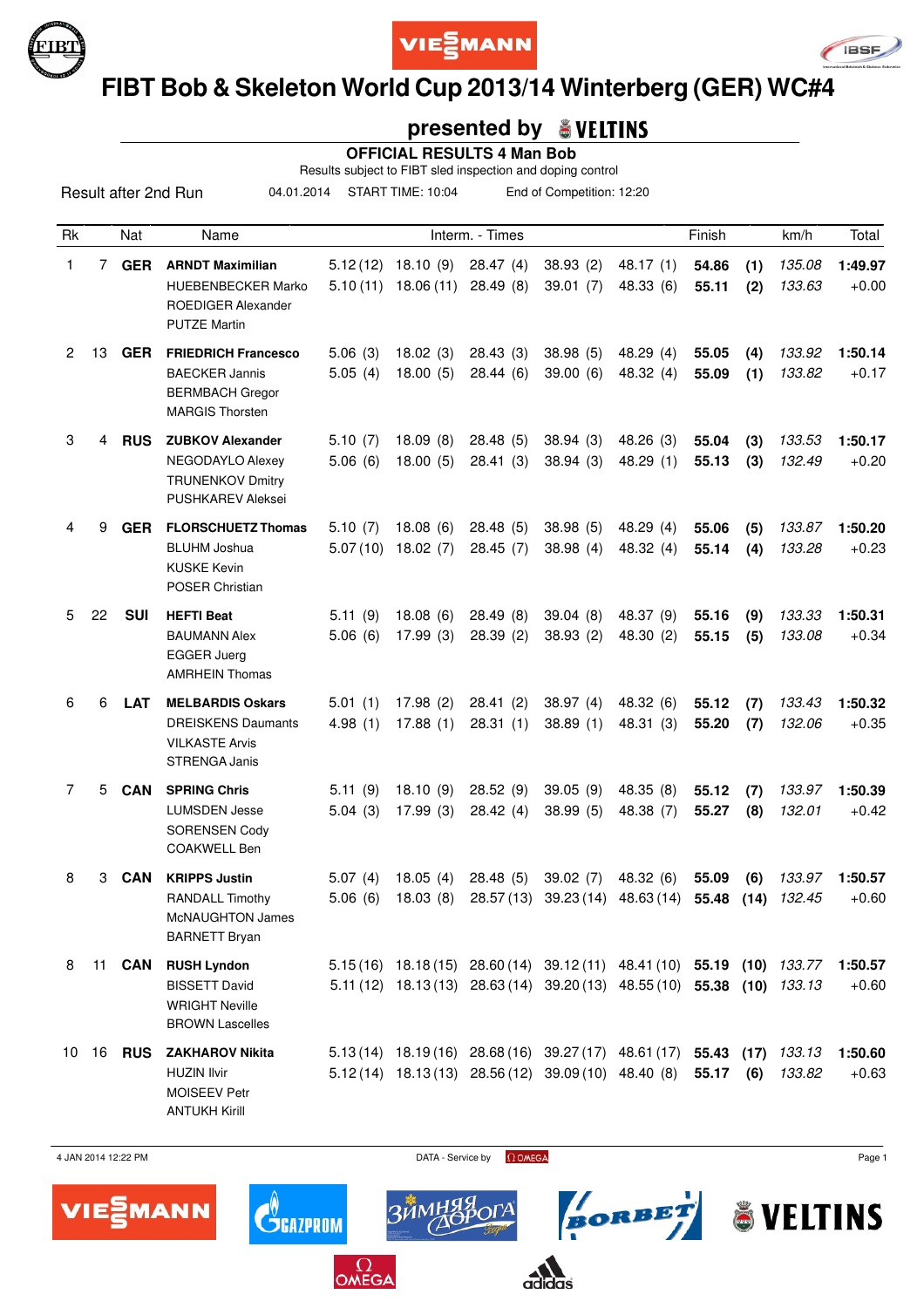





# **FIBT Bob & Skeleton World Cup 2013/14 Winterberg (GER) WC#4**

### **presented by**

 **OFFICIAL RESULTS 4 Man Bob**

Results subject to FIBT sled inspection and doping control

04.01.2014 START TIME: 10:04 End of Competition: 12:20

| Rk |             | Nat           | Name                                                                                                    |                     |                                    | Interm. - Times       |                                                                                                                                               |                         | Finish         |             | km/h             | Total              |
|----|-------------|---------------|---------------------------------------------------------------------------------------------------------|---------------------|------------------------------------|-----------------------|-----------------------------------------------------------------------------------------------------------------------------------------------|-------------------------|----------------|-------------|------------------|--------------------|
| 1  | $7^{\circ}$ | <b>GER</b>    | <b>ARNDT Maximilian</b><br><b>HUEBENBECKER Marko</b><br>ROEDIGER Alexander<br><b>PUTZE Martin</b>       | 5.10(11)            | $5.12(12)$ 18.10 (9)<br>18.06 (11) | 28.47(4)<br>28.49(8)  | 38.93(2)<br>39.01(7)                                                                                                                          | 48.17(1)<br>48.33 (6)   | 54.86<br>55.11 | (1)<br>(2)  | 135.08<br>133.63 | 1:49.97<br>$+0.00$ |
| 2  | 13          | <b>GER</b>    | <b>FRIEDRICH Francesco</b><br><b>BAECKER Jannis</b><br><b>BERMBACH Gregor</b><br><b>MARGIS Thorsten</b> | 5.06(3)<br>5.05(4)  | 18.02(3)<br>18.00(5)               | 28.43(3)<br>28.44(6)  | 38.98(5)<br>39.00(6)                                                                                                                          | 48.29 (4)<br>48.32 (4)  | 55.05<br>55.09 | (4)<br>(1)  | 133.92<br>133.82 | 1:50.14<br>$+0.17$ |
| 3  | 4           | <b>RUS</b>    | <b>ZUBKOV Alexander</b><br>NEGODAYLO Alexey<br><b>TRUNENKOV Dmitry</b><br><b>PUSHKAREV Aleksei</b>      | 5.10(7)<br>5.06(6)  | 18.09(8)<br>18.00(5)               | 28.48(5)<br>28.41(3)  | 38.94(3)<br>38.94(3)                                                                                                                          | 48.26 (3)<br>48.29 (1)  | 55.04<br>55.13 | (3)<br>(3)  | 133.53<br>132.49 | 1:50.17<br>$+0.20$ |
| 4  | 9           | <b>GER</b>    | <b>FLORSCHUETZ Thomas</b><br><b>BLUHM Joshua</b><br><b>KUSKE Kevin</b><br>POSER Christian               | 5.10(7)<br>5.07(10) | 18.08(6)<br>18.02(7)               | 28.48(5)<br>28.45(7)  | 38.98(5)<br>38.98(4)                                                                                                                          | 48.29(4)<br>48.32 (4)   | 55.06<br>55.14 | (5)<br>(4)  | 133.87<br>133.28 | 1:50.20<br>$+0.23$ |
| 5  | 22          | <b>SUI</b>    | <b>HEFTI Beat</b><br><b>BAUMANN Alex</b><br><b>EGGER Juerg</b><br><b>AMRHEIN Thomas</b>                 | 5.11(9)<br>5.06(6)  | 18.08(6)<br>17.99(3)               | 28.49(8)<br>28.39(2)  | 39.04(8)<br>38.93(2)                                                                                                                          | 48.37 (9)<br>48.30 (2)  | 55.16<br>55.15 | (9)<br>(5)  | 133.33<br>133.08 | 1:50.31<br>$+0.34$ |
| 6  | 6           | <b>LAT</b>    | <b>MELBARDIS Oskars</b><br><b>DREISKENS Daumants</b><br><b>VILKASTE Arvis</b><br><b>STRENGA Janis</b>   | 5.01(1)<br>4.98(1)  | 17.98(2)<br>17.88(1)               | 28.41(2)<br>28.31(1)  | 38.97 (4)<br>38.89(1)                                                                                                                         | 48.32 (6)<br>48.31 (3)  | 55.12<br>55.20 | (7)<br>(7)  | 133.43<br>132.06 | 1:50.32<br>$+0.35$ |
| 7  | 5           | <b>CAN</b>    | <b>SPRING Chris</b><br><b>LUMSDEN Jesse</b><br><b>SORENSEN Cody</b><br><b>COAKWELL Ben</b>              | 5.11(9)<br>5.04(3)  | 18.10(9)<br>17.99(3)               | 28.52(9)<br>28.42(4)  | 39.05(9)<br>38.99 (5)                                                                                                                         | 48.35 (8)<br>48.38 (7)  | 55.12<br>55.27 | (7)<br>(8)  | 133.97<br>132.01 | 1:50.39<br>$+0.42$ |
| 8  | 3           | <b>CAN</b>    | <b>KRIPPS Justin</b><br>RANDALL Timothy<br>McNAUGHTON James<br><b>BARNETT Bryan</b>                     | 5.07(4)<br>5.06(6)  | 18.05(4)<br>18.03(8)               | 28.48(5)<br>28.57(13) | 39.02(7)<br>39.23(14)                                                                                                                         | 48.32 (6)<br>48.63 (14) | 55.09<br>55.48 | (6)<br>(14) | 133.97<br>132.45 | 1:50.57<br>$+0.60$ |
| 8  |             | 11 <b>CAN</b> | <b>RUSH Lyndon</b><br><b>BISSETT David</b><br><b>WRIGHT Neville</b><br><b>BROWN Lascelles</b>           |                     |                                    |                       | 5.15(16) 18.18(15) 28.60(14) 39.12(11) 48.41(10) 55.19 (10) 133.77<br>5.11 (12) 18.13 (13) 28.63 (14) 39.20 (13) 48.55 (10) 55.38 (10) 133.13 |                         |                |             |                  | 1:50.57<br>$+0.60$ |
| 10 |             | <b>16 RUS</b> | <b>ZAKHAROV Nikita</b><br><b>HUZIN Ilvir</b><br><b>MOISEEV Petr</b><br><b>ANTUKH Kirill</b>             |                     |                                    |                       | 5.13 (14) 18.19 (16) 28.68 (16) 39.27 (17) 48.61 (17) 55.43 (17)<br>$5.12(14)$ $18.13(13)$ $28.56(12)$ $39.09(10)$ $48.40(8)$                 |                         | 55.17          | (6)         | 133.13<br>133.82 | 1:50.60<br>$+0.63$ |

4 JAN 2014 12:22 PM Page 1



 $\mathbf{C}^{\!\!\left( \! \begin{array}{c} \scriptstyle{ \pmb{\scriptstyle{ \hspace{.1em} \scriptstyle{ \hspace{.1em} \hspace{.1em} \scriptstyle{ \hspace{.1em} \hspace{.1em} \hspace{.1em} \hspace{.1em} \hspace{.1em} \hspace{.1em} \hspace{.1em} \hspace{.1em} \hspace{.1em} \hspace{.1em} \hspace{.1em} \hspace{.1em} \hspace{.1em} \hspace{.1em} \hspace{.1em} \end{array}}$ 

 $\Omega$ OMEGA



BORBET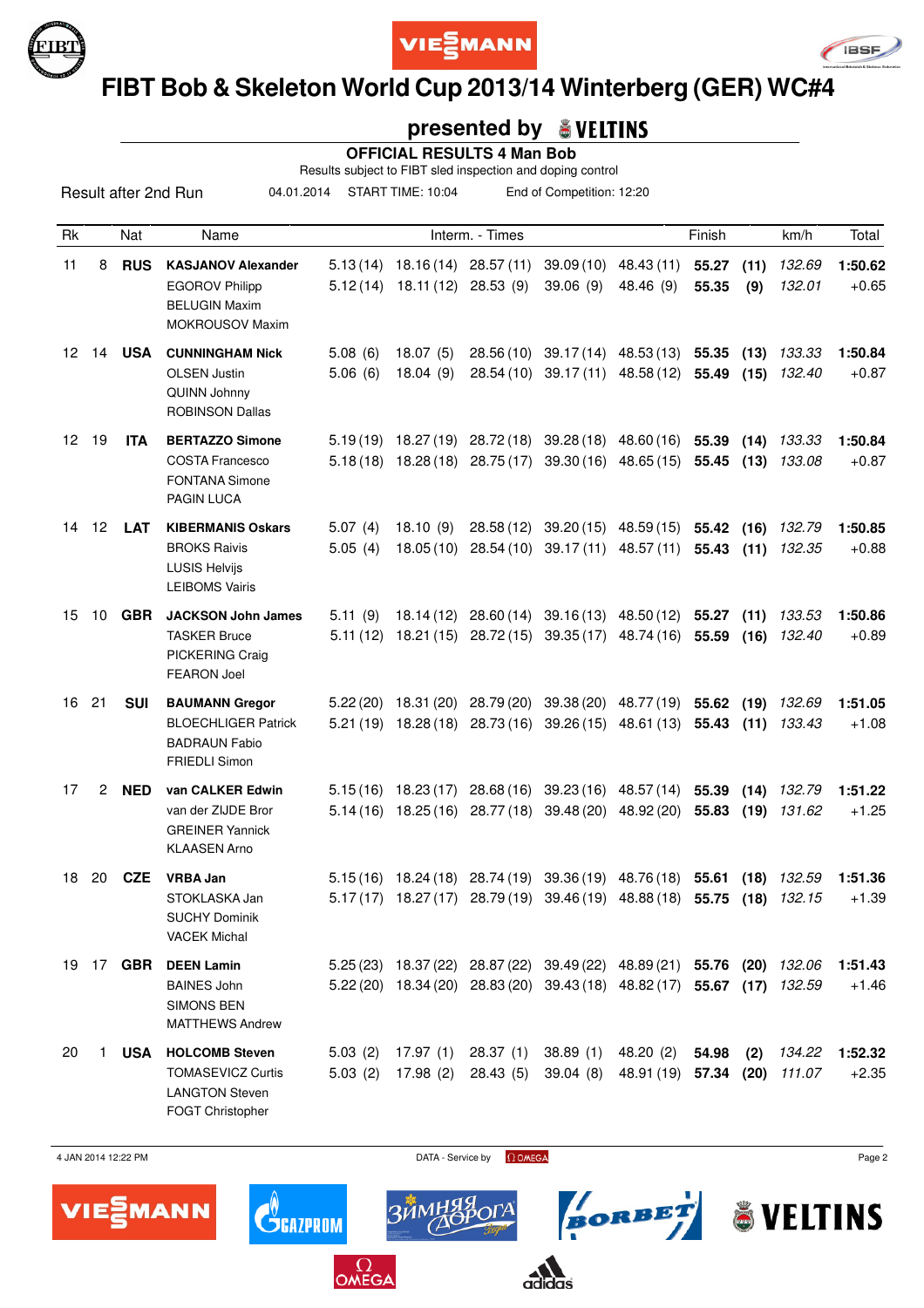





# **FIBT Bob & Skeleton World Cup 2013/14 Winterberg (GER) WC#4**

### **presented by**

 **OFFICIAL RESULTS 4 Man Bob**

Results subject to FIBT sled inspection and doping control

04.01.2014 START TIME: 10:04 End of Competition: 12:20

| Rk               |    | Nat              | Name                                                                                                |                      |                       | Interm. - Times                                                        |                                                                                                                                 |                                                      | Finish              |              | km/h             | Total              |
|------------------|----|------------------|-----------------------------------------------------------------------------------------------------|----------------------|-----------------------|------------------------------------------------------------------------|---------------------------------------------------------------------------------------------------------------------------------|------------------------------------------------------|---------------------|--------------|------------------|--------------------|
| 11               | 8  | <b>RUS</b>       | <b>KASJANOV Alexander</b><br><b>EGOROV Philipp</b><br><b>BELUGIN Maxim</b><br>MOKROUSOV Maxim       | 5.13(14)<br>5.12(14) | 18.11 (12) 28.53 (9)  | 18.16 (14) 28.57 (11)                                                  | 39.06(9)                                                                                                                        | 39.09 (10) 48.43 (11)<br>48.46 (9)                   | 55.27<br>55.35      | (11)<br>(9)  | 132.69<br>132.01 | 1:50.62<br>$+0.65$ |
| 12 <sup>12</sup> | 14 | <b>USA</b>       | <b>CUNNINGHAM Nick</b><br><b>OLSEN Justin</b><br>QUINN Johnny<br><b>ROBINSON Dallas</b>             | 5.08(6)<br>5.06(6)   | 18.07(5)<br>18.04(9)  |                                                                        | 28.56 (10) 39.17 (14) 48.53 (13) 55.35<br>28.54 (10) 39.17 (11) 48.58 (12)                                                      |                                                      | 55.49               | (13)<br>(15) | 133.33<br>132.40 | 1:50.84<br>$+0.87$ |
| 12               | 19 | <b>ITA</b>       | <b>BERTAZZO Simone</b><br><b>COSTA Francesco</b><br><b>FONTANA Simone</b><br>PAGIN LUCA             |                      |                       | $5.18(18)$ $18.28(18)$ $28.75(17)$                                     | $5.19(19)$ $18.27(19)$ $28.72(18)$ $39.28(18)$ $48.60(16)$                                                                      | $39.30(16)$ 48.65 (15)                               | 55.39<br>55.45      | (14)<br>(13) | 133.33<br>133.08 | 1:50.84<br>$+0.87$ |
|                  |    | 14 12 <b>LAT</b> | <b>KIBERMANIS Oskars</b><br><b>BROKS Raivis</b><br><b>LUSIS Helvijs</b><br><b>LEIBOMS Vairis</b>    | 5.07(4)<br>5.05(4)   | 18.10(9)<br>18.05(10) | 28.58 (12)                                                             | 28.54 (10) 39.17 (11) 48.57 (11)                                                                                                | $39.20(15)$ 48.59(15)                                | 55.42<br>55.43      | (16)<br>(11) | 132.79<br>132.35 | 1:50.85<br>$+0.88$ |
| 15               | 10 | <b>GBR</b>       | <b>JACKSON John James</b><br><b>TASKER Bruce</b><br>PICKERING Craig<br><b>FEARON Joel</b>           | 5.11(9)              |                       |                                                                        | 18.14 (12) 28.60 (14) 39.16 (13) 48.50 (12) 55.27 (11)<br>5.11 (12) 18.21 (15) 28.72 (15) 39.35 (17) 48.74 (16)                 |                                                      | 55.59               | (16)         | 133.53<br>132.40 | 1:50.86<br>$+0.89$ |
| 16               | 21 | <b>SUI</b>       | <b>BAUMANN Gregor</b><br><b>BLOECHLIGER Patrick</b><br><b>BADRAUN Fabio</b><br><b>FRIEDLI Simon</b> |                      |                       | $5.22(20)$ 18.31 (20) 28.79 (20)<br>$5.21(19)$ $18.28(18)$ $28.73(16)$ |                                                                                                                                 | 39.38 (20) 48.77 (19) 55.62<br>39.26 (15) 48.61 (13) | 55.43               | (19)<br>(11) | 132.69<br>133.43 | 1:51.05<br>$+1.08$ |
| 17               | 2  | <b>NED</b>       | van CALKER Edwin<br>van der ZIJDE Bror<br><b>GREINER Yannick</b><br><b>KLAASEN Arno</b>             |                      |                       |                                                                        | $5.15(16)$ 18.23 (17) 28.68 (16) 39.23 (16) 48.57 (14)<br>$5.14(16)$ 18.25 (16) 28.77 (18) 39.48 (20) 48.92 (20)                |                                                      | 55.39<br>55.83      | (14)<br>(19) | 132.79<br>131.62 | 1:51.22<br>$+1.25$ |
| 18               | 20 | <b>CZE</b>       | <b>VRBA Jan</b><br>STOKLASKA Jan<br><b>SUCHY Dominik</b><br><b>VACEK Michal</b>                     |                      | $5.17(17)$ 18.27(17)  |                                                                        | $5.15(16)$ 18.24 (18) 28.74 (19) 39.36 (19) 48.76 (18)<br>28.79 (19) 39.46 (19)                                                 | 48.88 (18)                                           | 55.61<br>55.75 (18) | (18)         | 132.59<br>132.15 | 1:51.36<br>$+1.39$ |
|                  |    | 19 17 GBR        | <b>DEEN Lamin</b><br><b>BAINES John</b><br>SIMONS BEN<br><b>MATTHEWS Andrew</b>                     |                      |                       |                                                                        | 5.25 (23) 18.37 (22) 28.87 (22) 39.49 (22) 48.89 (21) 55.76<br>5.22 (20) 18.34 (20) 28.83 (20) 39.43 (18) 48.82 (17) 55.67 (17) |                                                      |                     | (20)         | 132.06<br>132.59 | 1:51.43<br>$+1.46$ |
| 20               | 1  | <b>USA</b>       | <b>HOLCOMB Steven</b><br><b>TOMASEVICZ Curtis</b><br><b>LANGTON Steven</b><br>FOGT Christopher      | 5.03(2)<br>5.03(2)   | 17.97 (1)<br>17.98(2) | 28.37(1)<br>28.43(5)                                                   | 38.89(1)<br>39.04(8)                                                                                                            | 48.20 (2)<br>48.91 (19) 57.34                        | 54.98               | (2)<br>(20)  | 134.22<br>111.07 | 1:52.32<br>$+2.35$ |



BORBET

& VELTINS



 $\mathbf{C}^{\!\!\left( \! \begin{array}{c} \scriptstyle{ \pmb{\scriptstyle{ \hspace{.1em} \scriptstyle{ \hspace{.1em} \hspace{.1em} \scriptstyle{ \hspace{.1em} \hspace{.1em} \hspace{.1em} \hspace{.1em} \hspace{.1em} \hspace{.1em} \hspace{.1em} \hspace{.1em} \hspace{.1em} \hspace{.1em} \hspace{.1em} \hspace{.1em} \hspace{.1em} \hspace{.1em} \hspace{.1em} \end{array}}$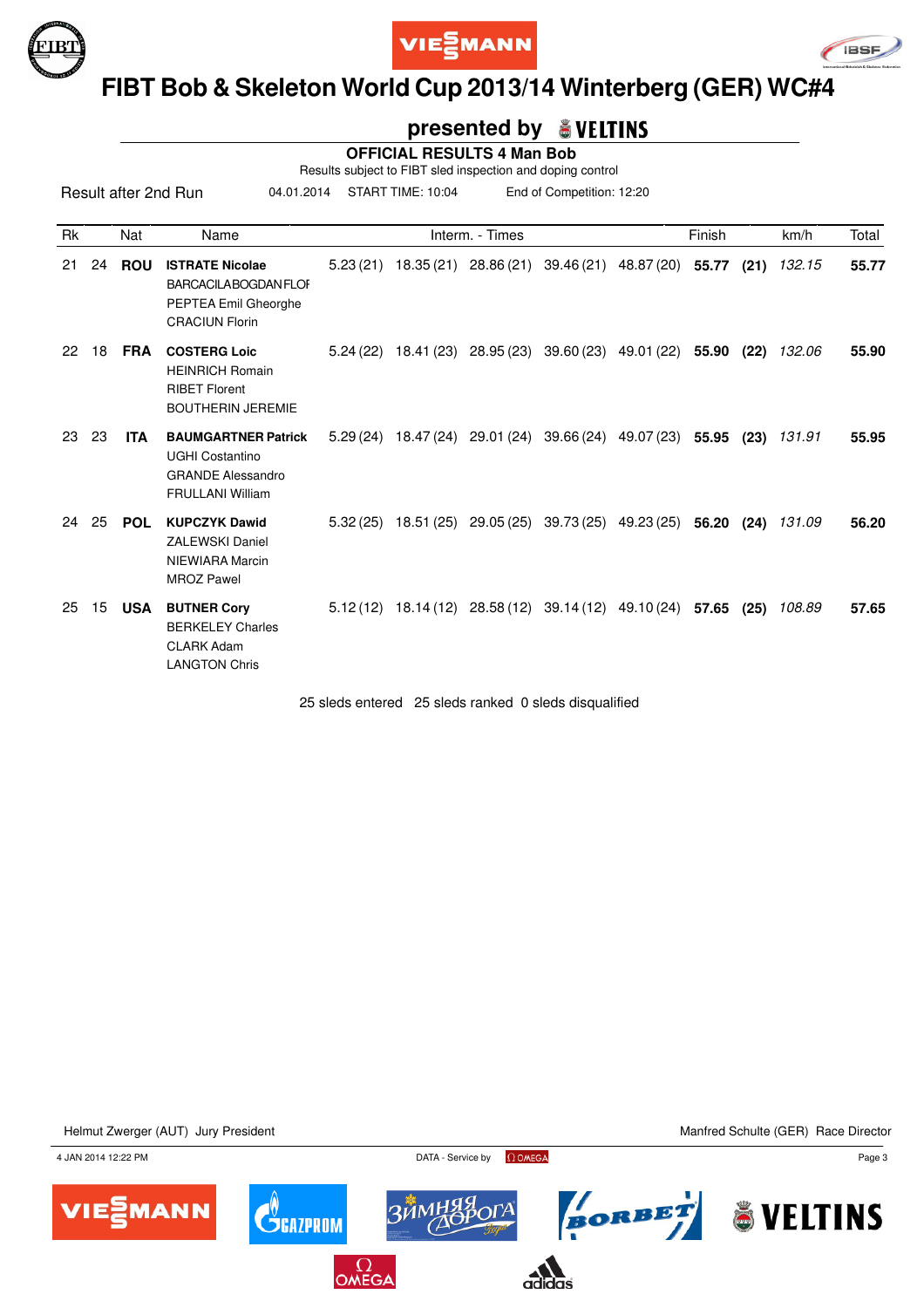





### **FIBT Bob & Skeleton World Cup 2013/14 Winterberg (GER) WC#4**

### **presented by**

 **OFFICIAL RESULTS 4 Man Bob**

Results subject to FIBT sled inspection and doping control

04.01.2014 START TIME: 10:04 End of Competition: 12:20

| <b>Rk</b> |    | Nat        | Name                                                                                                        |          | Interm. - Times                                                         |            |                             | Finish |      | km/h   | Total |
|-----------|----|------------|-------------------------------------------------------------------------------------------------------------|----------|-------------------------------------------------------------------------|------------|-----------------------------|--------|------|--------|-------|
| 21        | 24 | <b>ROU</b> | <b>ISTRATE Nicolae</b><br><b>BARCACILABOGDAN FLOF</b><br>PEPTEA Emil Gheorghe<br><b>CRACIUN Florin</b>      | 5.23(21) | 18.35 (21) 28.86 (21)                                                   |            | 39.46 (21) 48.87 (20) 55.77 |        | (21) | 132.15 | 55.77 |
| 22        | 18 | <b>FRA</b> | <b>COSTERG Loic</b><br><b>HEINRICH Romain</b><br><b>RIBET Florent</b><br><b>BOUTHERIN JEREMIE</b>           | 5.24(22) | 18.41 (23) 28.95 (23)                                                   |            | 39.60 (23) 49.01 (22)       | 55.90  | (22) | 132.06 | 55.90 |
| 23        | 23 | <b>ITA</b> | <b>BAUMGARTNER Patrick</b><br><b>UGHI Costantino</b><br><b>GRANDE Alessandro</b><br><b>FRULLANI William</b> |          | 5.29 (24) 18.47 (24) 29.01 (24)                                         | 39.66 (24) | 49.07 (23)                  | 55.95  | (23) | 131.91 | 55.95 |
| 24        | 25 | <b>POL</b> | <b>KUPCZYK Dawid</b><br><b>ZALEWSKI Daniel</b><br>NIEWIARA Marcin<br><b>MROZ Pawel</b>                      | 5.32(25) | 18.51 (25) 29.05 (25)                                                   |            | 39.73 (25) 49.23 (25)       | 56.20  | (24) | 131.09 | 56.20 |
| 25        | 15 | <b>USA</b> | <b>BUTNER Cory</b><br><b>BERKELEY Charles</b><br><b>CLARK Adam</b><br><b>LANGTON Chris</b>                  |          | $5.12(12)$ $18.14(12)$ $28.58(12)$ $39.14(12)$ $49.10(24)$ <b>57.65</b> |            |                             |        | (25) | 108.89 | 57.65 |

25 sleds entered 25 sleds ranked 0 sleds disqualified

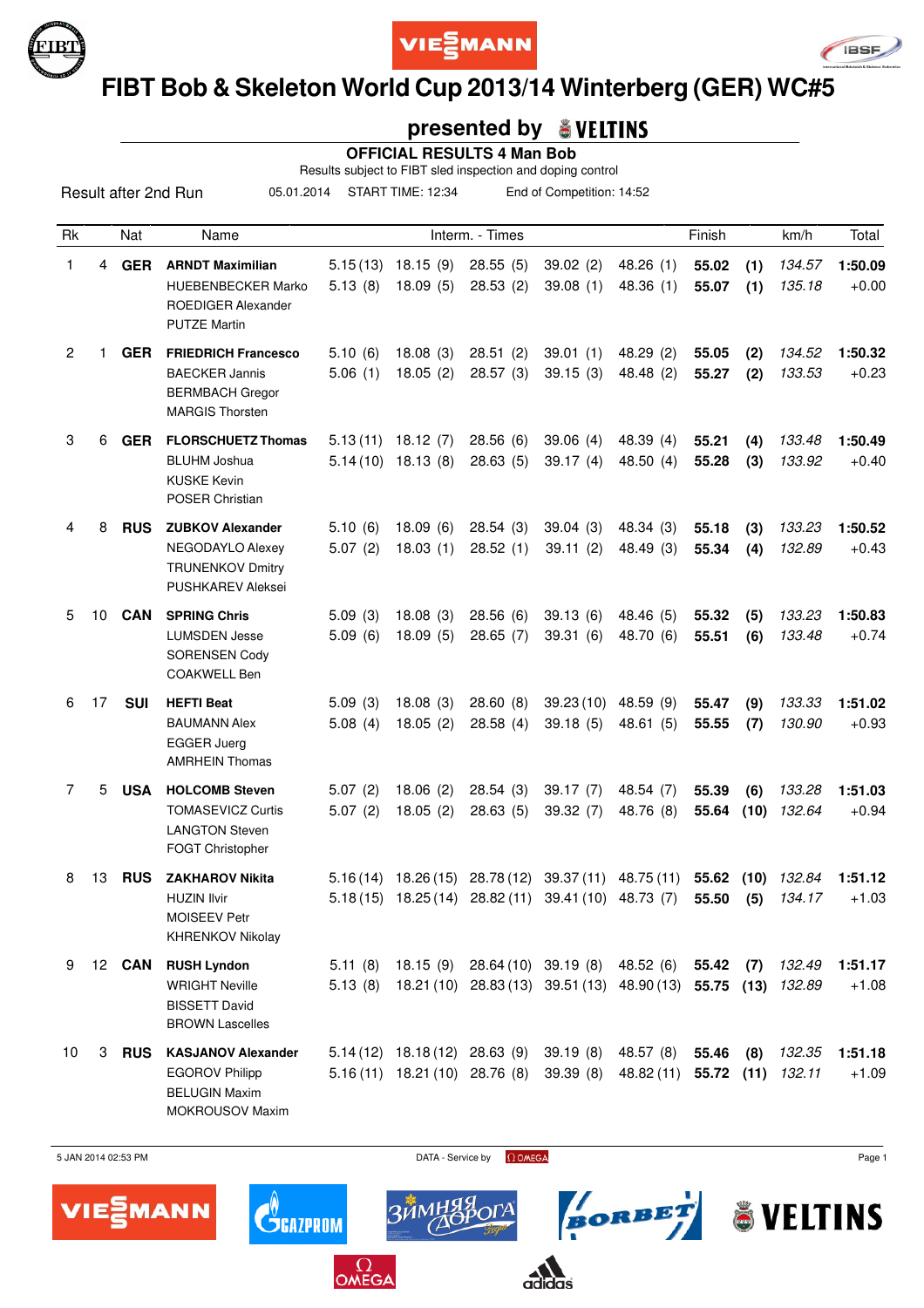





# **FIBT Bob & Skeleton World Cup 2013/14 Winterberg (GER) WC#5**

### **presented by**

 **OFFICIAL RESULTS 4 Man Bob**

Results subject to FIBT sled inspection and doping control

05.01.2014 START TIME: 12:34 End of Competition: 14:52

| Rk |    | Nat           | Name                                                                                                     |                      |                                                                    | Interm. - Times        |                                                                                                              |                               | Finish         |             | km/h             | Total              |
|----|----|---------------|----------------------------------------------------------------------------------------------------------|----------------------|--------------------------------------------------------------------|------------------------|--------------------------------------------------------------------------------------------------------------|-------------------------------|----------------|-------------|------------------|--------------------|
| 1  | 4  | <b>GER</b>    | <b>ARNDT Maximilian</b><br><b>HUEBENBECKER Marko</b><br><b>ROEDIGER Alexander</b><br><b>PUTZE Martin</b> | 5.13(8)              | $5.15(13)$ 18.15 (9)<br>18.09(5)                                   | 28.55(5)<br>28.53(2)   | 39.02(2)<br>39.08(1)                                                                                         | 48.26(1)<br>48.36 (1)         | 55.02<br>55.07 | (1)<br>(1)  | 134.57<br>135.18 | 1:50.09<br>$+0.00$ |
| 2  |    | <b>GER</b>    | <b>FRIEDRICH Francesco</b><br><b>BAECKER Jannis</b><br><b>BERMBACH Gregor</b><br><b>MARGIS Thorsten</b>  | 5.10(6)<br>5.06(1)   | 18.08(3)<br>18.05(2)                                               | 28.51(2)<br>28.57(3)   | 39.01(1)<br>39.15(3)                                                                                         | 48.29 (2)<br>48.48 (2)        | 55.05<br>55.27 | (2)<br>(2)  | 134.52<br>133.53 | 1:50.32<br>$+0.23$ |
| 3  | 6  | <b>GER</b>    | <b>FLORSCHUETZ Thomas</b><br><b>BLUHM Joshua</b><br><b>KUSKE Kevin</b><br><b>POSER Christian</b>         | 5.13(11)<br>5.14(10) | 18.12(7)<br>18.13 (8)                                              | 28.56(6)<br>28.63(5)   | 39.06(4)<br>39.17(4)                                                                                         | 48.39 (4)<br>48.50 $(4)$      | 55.21<br>55.28 | (4)<br>(3)  | 133.48<br>133.92 | 1:50.49<br>$+0.40$ |
| 4  | 8  | <b>RUS</b>    | <b>ZUBKOV Alexander</b><br>NEGODAYLO Alexey<br><b>TRUNENKOV Dmitry</b><br>PUSHKAREV Aleksei              | 5.10(6)<br>5.07(2)   | 18.09(6)<br>18.03(1)                                               | 28.54(3)<br>28.52(1)   | 39.04(3)<br>39.11(2)                                                                                         | 48.34 (3)<br>48.49 (3)        | 55.18<br>55.34 | (3)<br>(4)  | 133.23<br>132.89 | 1:50.52<br>$+0.43$ |
| 5  | 10 | <b>CAN</b>    | <b>SPRING Chris</b><br><b>LUMSDEN Jesse</b><br><b>SORENSEN Cody</b><br><b>COAKWELL Ben</b>               | 5.09(3)<br>5.09(6)   | 18.08(3)<br>18.09(5)                                               | 28.56(6)<br>28.65(7)   | 39.13(6)<br>39.31(6)                                                                                         | 48.46 (5)<br>48.70 (6)        | 55.32<br>55.51 | (5)<br>(6)  | 133.23<br>133.48 | 1:50.83<br>$+0.74$ |
| 6  | 17 | <b>SUI</b>    | <b>HEFTI Beat</b><br><b>BAUMANN Alex</b><br><b>EGGER Juerg</b><br><b>AMRHEIN Thomas</b>                  | 5.09(3)<br>5.08(4)   | 18.08(3)<br>18.05(2)                                               | 28.60(8)<br>28.58(4)   | 39.23(10)<br>39.18(5)                                                                                        | 48.59 (9)<br>48.61 (5)        | 55.47<br>55.55 | (9)<br>(7)  | 133.33<br>130.90 | 1:51.02<br>$+0.93$ |
| 7  | 5  | <b>USA</b>    | <b>HOLCOMB Steven</b><br><b>TOMASEVICZ Curtis</b><br><b>LANGTON Steven</b><br>FOGT Christopher           | 5.07(2)<br>5.07(2)   | 18.06(2)<br>18.05(2)                                               | 28.54(3)<br>28.63(5)   | 39.17(7)<br>39.32 (7)                                                                                        | 48.54 (7)<br>48.76 (8)        | 55.39<br>55.64 | (6)<br>(10) | 133.28<br>132.64 | 1:51.03<br>$+0.94$ |
| 8  | 13 | <b>RUS</b>    | <b>ZAKHAROV Nikita</b><br><b>HUZIN Ilvir</b><br><b>MOISEEV Petr</b><br><b>KHRENKOV Nikolay</b>           | 5.16(14)<br>5.18(15) | 18.26 (15)<br>18.25 (14)                                           | 28.78(12)<br>28.82(11) | 39.37(11)<br>39.41(10)                                                                                       | 48.75 (11)<br>48.73 (7)       | 55.62<br>55.50 | (10)<br>(5) | 132.84<br>134.17 | 1:51.12<br>$+1.03$ |
| 9  |    | 12 <b>CAN</b> | <b>RUSH Lyndon</b><br><b>WRIGHT Neville</b><br><b>BISSETT David</b><br><b>BROWN Lascelles</b>            | 5.11(8)<br>5.13(8)   |                                                                    |                        | 18.15 (9) 28.64 (10) 39.19 (8) 48.52 (6) 55.42 (7)<br>18.21 (10) 28.83 (13) 39.51 (13) 48.90 (13) 55.75 (13) |                               |                |             | 132.49<br>132.89 | 1:51.17<br>$+1.08$ |
| 10 | 3  | <b>RUS</b>    | <b>KASJANOV Alexander</b><br><b>EGOROV Philipp</b><br><b>BELUGIN Maxim</b><br><b>MOKROUSOV Maxim</b>     |                      | $5.14(12)$ 18.18(12) 28.63(9)<br>$5.16(11)$ $18.21(10)$ $28.76(8)$ |                        | 39.19(8)<br>39.39(8)                                                                                         | 48.57 (8)<br>48.82 (11) 55.72 | 55.46          | (8)<br>(11) | 132.35<br>132.11 | 1:51.18<br>$+1.09$ |



BORBET

& VELTINS



 $\mathbf{C}^{\!\scriptscriptstyle (\!\varsigma\!)}_{\!\scriptscriptstyle\mathsf{GALPROM}}$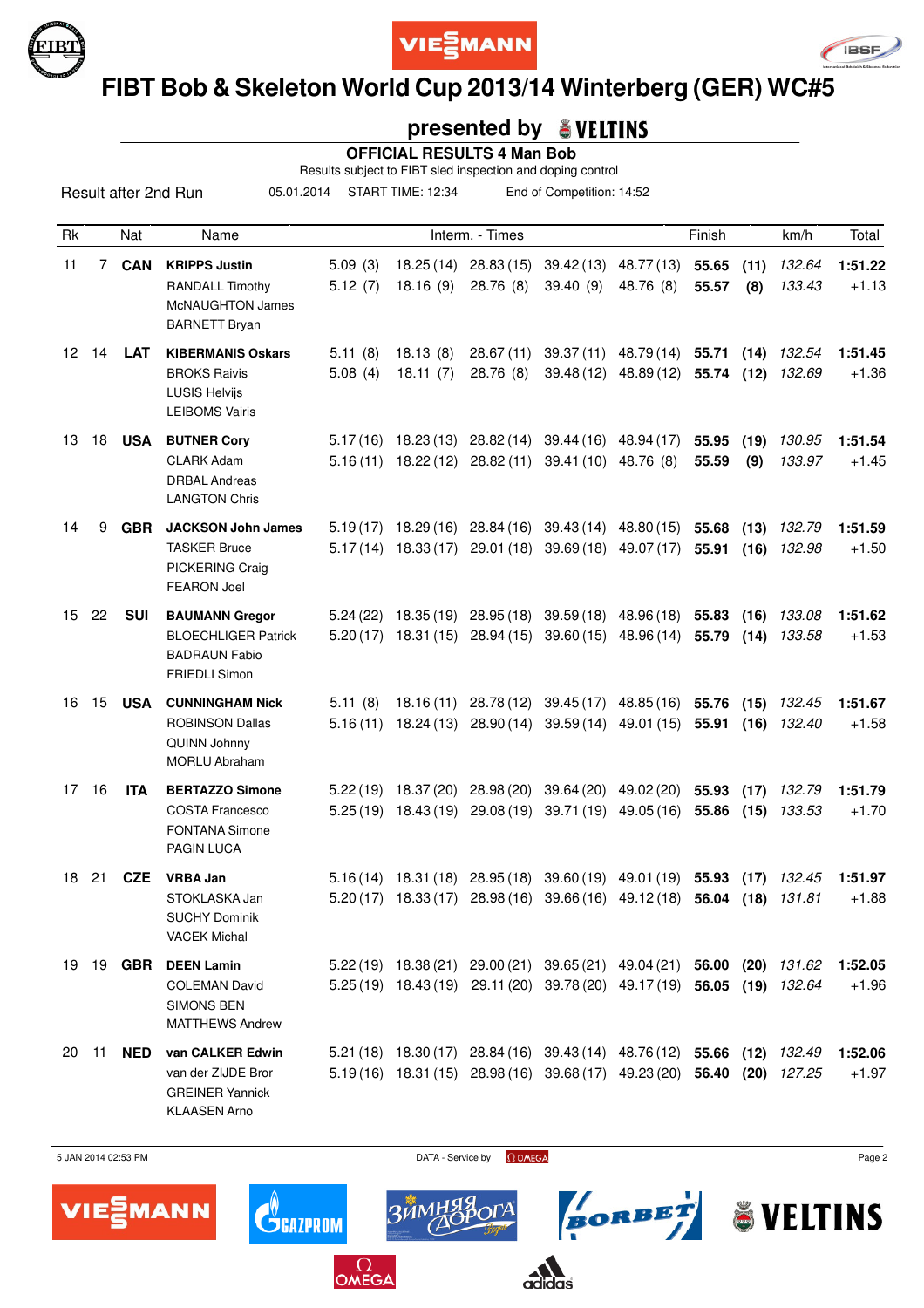





# **FIBT Bob & Skeleton World Cup 2013/14 Winterberg (GER) WC#5**

### **presented by**

 **OFFICIAL RESULTS 4 Man Bob**

Results subject to FIBT sled inspection and doping control

05.01.2014 START TIME: 12:34 End of Competition: 14:52

| Rk               |    | Nat           | Name                                                                                                |                     |                        | Interm. - Times                                           |                                                                            |                                                                                                                                                    | Finish         |              | km/h             | Total              |
|------------------|----|---------------|-----------------------------------------------------------------------------------------------------|---------------------|------------------------|-----------------------------------------------------------|----------------------------------------------------------------------------|----------------------------------------------------------------------------------------------------------------------------------------------------|----------------|--------------|------------------|--------------------|
| 11               | 7  | <b>CAN</b>    | <b>KRIPPS Justin</b><br><b>RANDALL Timothy</b><br><b>McNAUGHTON James</b><br><b>BARNETT Bryan</b>   | 5.09(3)<br>5.12(7)  | 18.25 (14)<br>18.16(9) | 28.83(15)<br>28.76 (8)                                    | 39.42(13)<br>39.40(9)                                                      | 48.77 (13)<br>48.76 (8)                                                                                                                            | 55.65<br>55.57 | (11)<br>(8)  | 132.64<br>133.43 | 1:51.22<br>$+1.13$ |
| 12 <sup>12</sup> | 14 | <b>LAT</b>    | <b>KIBERMANIS Oskars</b><br><b>BROKS Raivis</b><br><b>LUSIS Helvijs</b><br><b>LEIBOMS Vairis</b>    | 5.11(8)<br>5.08(4)  | 18.13(8)<br>18.11(7)   | 28.67(11)<br>28.76 (8)                                    |                                                                            | 39.37 (11) 48.79 (14) 55.71<br>39.48 (12) 48.89 (12)                                                                                               | 55.74 (12)     | (14)         | 132.54<br>132.69 | 1:51.45<br>$+1.36$ |
| 13               | 18 | <b>USA</b>    | <b>BUTNER Cory</b><br><b>CLARK Adam</b><br><b>DRBAL Andreas</b><br><b>LANGTON Chris</b>             |                     | $5.16(11)$ $18.22(12)$ | 28.82 (11)                                                | $5.17(16)$ 18.23(13) 28.82(14) 39.44(16) 48.94(17)<br>39.41 (10) 48.76 (8) |                                                                                                                                                    | 55.95<br>55.59 | (19)<br>(9)  | 130.95<br>133.97 | 1:51.54<br>$+1.45$ |
| 14               | 9  | <b>GBR</b>    | <b>JACKSON John James</b><br><b>TASKER Bruce</b><br>PICKERING Craig<br><b>FEARON Joel</b>           | 5.19(17)            |                        | 18.29 (16) 28.84 (16)<br>$5.17(14)$ 18.33 (17) 29.01 (18) |                                                                            | 39.43 (14) 48.80 (15) 55.68<br>39.69 (18) 49.07 (17)                                                                                               | 55.91          | (13)<br>(16) | 132.79<br>132.98 | 1:51.59<br>$+1.50$ |
| 15 <sub>1</sub>  | 22 | <b>SUI</b>    | <b>BAUMANN Gregor</b><br><b>BLOECHLIGER Patrick</b><br><b>BADRAUN Fabio</b><br><b>FRIEDLI Simon</b> | 5.24(22)            |                        | $5.20(17)$ 18.31 (15) 28.94 (15)                          |                                                                            | 18.35 (19) 28.95 (18) 39.59 (18) 48.96 (18) 55.83<br>39.60 (15) 48.96 (14) 55.79                                                                   |                | (16)<br>(14) | 133.08<br>133.58 | 1:51.62<br>$+1.53$ |
| 16               | 15 | <b>USA</b>    | <b>CUNNINGHAM Nick</b><br><b>ROBINSON Dallas</b><br>QUINN Johnny<br><b>MORLU Abraham</b>            | 5.11(8)<br>5.16(11) | 18.16(11)              | 28.78 (12)<br>18.24 (13) 28.90 (14)                       |                                                                            | 39.45 (17) 48.85 (16) 55.76<br>39.59 (14) 49.01 (15) 55.91                                                                                         |                | (15)<br>(16) | 132.45<br>132.40 | 1:51.67<br>$+1.58$ |
| 17               | 16 | <b>ITA</b>    | <b>BERTAZZO Simone</b><br><b>COSTA Francesco</b><br><b>FONTANA Simone</b><br><b>PAGIN LUCA</b>      | 5.25(19)            | 18.43 (19)             | $5.22(19)$ 18.37 (20) 28.98 (20)<br>29.08 (19)            |                                                                            | 39.64 (20) 49.02 (20) 55.93<br>39.71 (19) 49.05 (16)                                                                                               | 55.86          | (17)<br>(15) | 132.79<br>133.53 | 1:51.79<br>$+1.70$ |
| 18               | 21 | <b>CZE</b>    | <b>VRBA Jan</b><br>STOKLASKA Jan<br><b>SUCHY Dominik</b><br><b>VACEK Michal</b>                     |                     |                        | $5.16(14)$ 18.31 (18) 28.95 (18)                          |                                                                            | 39.60 (19) 49.01 (19) 55.93<br>5.20 (17) 18.33 (17) 28.98 (16) 39.66 (16) 49.12 (18) 56.04 (18)                                                    |                | (17)         | 132.45<br>131.81 | 1:51.97<br>$+1.88$ |
| 19               |    | 19 <b>GBR</b> | <b>DEEN Lamin</b><br><b>COLEMAN David</b><br><b>SIMONS BEN</b><br><b>MATTHEWS Andrew</b>            |                     |                        |                                                           |                                                                            | 5.22 (19) 18.38 (21) 29.00 (21) 39.65 (21) 49.04 (21) 56.00 (20) 131.62<br>5.25 (19) 18.43 (19) 29.11 (20) 39.78 (20) 49.17 (19) 56.05 (19) 132.64 |                |              |                  | 1:52.05<br>$+1.96$ |
| 20               | 11 | <b>NED</b>    | van CALKER Edwin<br>van der ZIJDE Bror<br><b>GREINER Yannick</b><br><b>KLAASEN Arno</b>             |                     |                        |                                                           |                                                                            | 5.21 (18) 18.30 (17) 28.84 (16) 39.43 (14) 48.76 (12) 55.66 (12) 132.49<br>5.19(16) 18.31(15) 28.98(16) 39.68(17) 49.23(20) 56.40 (20) 127.25      |                |              |                  | 1:52.06<br>$+1.97$ |



BORBET

& VELTINS



 $\mathbf{C}^{\!\scriptscriptstyle (\!\varsigma\!)}_{\!\scriptscriptstyle\mathsf{GALPROM}}$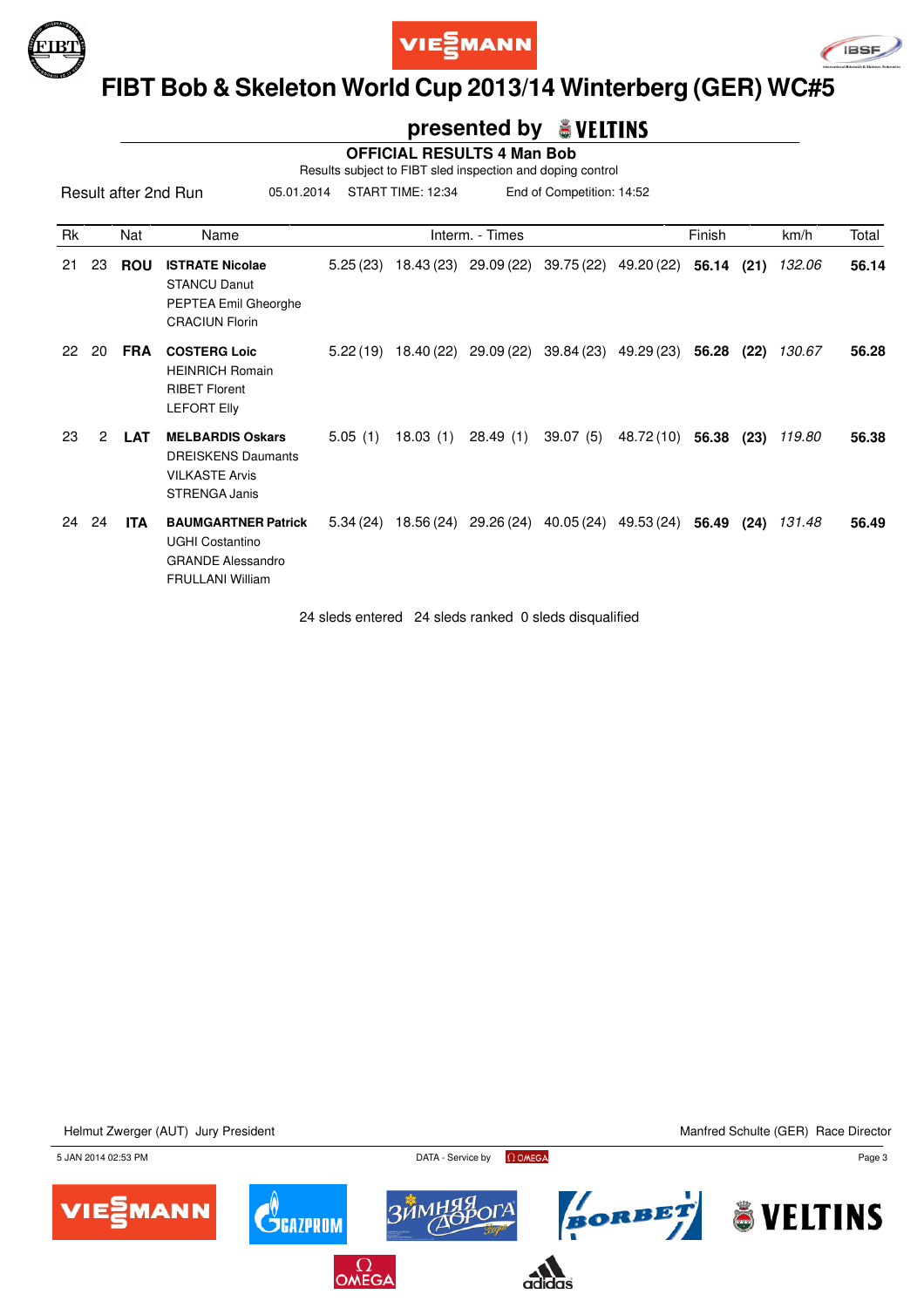





### **FIBT Bob & Skeleton World Cup 2013/14 Winterberg (GER) WC#5**

#### **presented by**

 **OFFICIAL RESULTS 4 Man Bob**

Results subject to FIBT sled inspection and doping control

05.01.2014 START TIME: 12:34 End of Competition: 14:52

| Rk |    | Nat        | Name                                                                                                        |          |          | Interm. - Times       |            |                       | Finish |      | km/h   | Total |
|----|----|------------|-------------------------------------------------------------------------------------------------------------|----------|----------|-----------------------|------------|-----------------------|--------|------|--------|-------|
| 21 | 23 | <b>ROU</b> | <b>ISTRATE Nicolae</b><br><b>STANCU Danut</b><br>PEPTEA Emil Gheorghe<br><b>CRACIUN Florin</b>              | 5.25(23) |          | 18.43 (23) 29.09 (22) |            | 39.75 (22) 49.20 (22) | 56.14  | (21) | 132.06 | 56.14 |
| 22 | 20 | <b>FRA</b> | <b>COSTERG Loic</b><br><b>HEINRICH Romain</b><br><b>RIBET Florent</b><br><b>LEFORT Elly</b>                 | 5.22(19) |          | 18.40 (22) 29.09 (22) | 39.84 (23) | 49.29 (23) 56.28      |        | (22) | 130.67 | 56.28 |
| 23 | 2  | <b>LAT</b> | <b>MELBARDIS Oskars</b><br><b>DREISKENS Daumants</b><br><b>VILKASTE Arvis</b><br><b>STRENGA Janis</b>       | 5.05(1)  | 18.03(1) | 28.49(1)              | 39.07 (5)  | 48.72 (10)            | 56.38  | (23) | 119.80 | 56.38 |
| 24 | 24 | ITA        | <b>BAUMGARTNER Patrick</b><br><b>UGHI Costantino</b><br><b>GRANDE Alessandro</b><br><b>FRULLANI William</b> | 5.34(24) |          | 18.56 (24) 29.26 (24) | 40.05 (24) | 49.53 (24)            | 56.49  | (24) | 131.48 | 56.49 |

24 sleds entered 24 sleds ranked 0 sleds disqualified

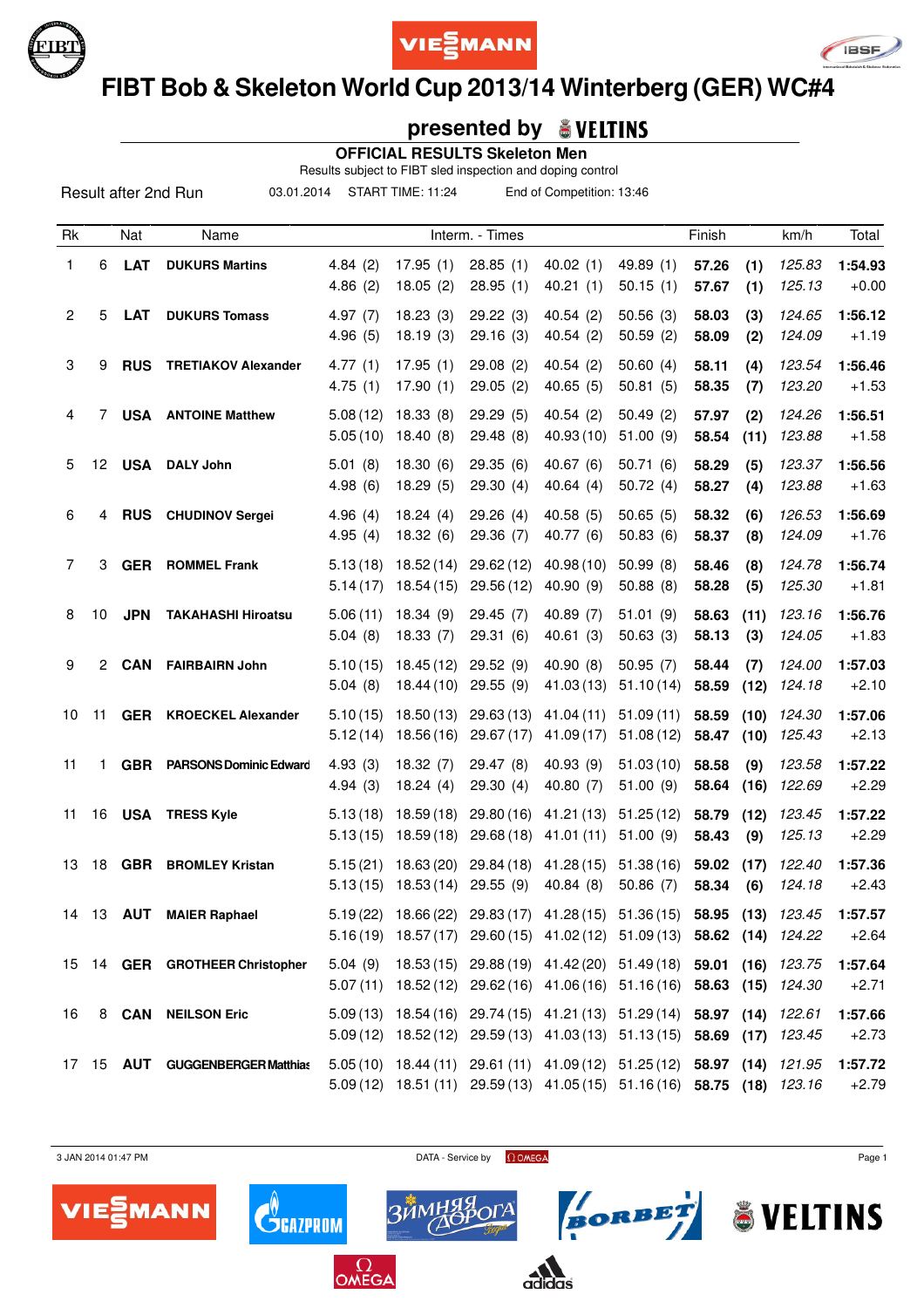





# **FIBT Bob & Skeleton World Cup 2013/14 Winterberg (GER) WC#4**

### **presented by**

 **OFFICIAL RESULTS Skeleton Men**

Results subject to FIBT sled inspection and doping control

03.01.2014 START TIME: 11:24 End of Competition: 13:46

| Rk             |    | Nat              | Name                            |                      |                          | Interm. - Times         |                                                                                                                                                    |                        | Finish         |              | km/h             | Total              |
|----------------|----|------------------|---------------------------------|----------------------|--------------------------|-------------------------|----------------------------------------------------------------------------------------------------------------------------------------------------|------------------------|----------------|--------------|------------------|--------------------|
| $\mathbf{1}$   | 6  | <b>LAT</b>       | <b>DUKURS Martins</b>           | 4.84(2)<br>4.86(2)   | 17.95(1)<br>18.05(2)     | 28.85(1)<br>28.95(1)    | 40.02(1)<br>40.21(1)                                                                                                                               | 49.89 (1)<br>50.15(1)  | 57.26<br>57.67 | (1)<br>(1)   | 125.83<br>125.13 | 1:54.93<br>$+0.00$ |
| $\overline{c}$ | 5  | <b>LAT</b>       | <b>DUKURS Tomass</b>            | 4.97(7)<br>4.96(5)   | 18.23(3)<br>18.19(3)     | 29.22 (3)<br>29.16(3)   | 40.54(2)<br>40.54(2)                                                                                                                               | 50.56(3)<br>50.59(2)   | 58.03<br>58.09 | (3)<br>(2)   | 124.65<br>124.09 | 1:56.12<br>$+1.19$ |
| 3              | 9  | <b>RUS</b>       | <b>TRETIAKOV Alexander</b>      | 4.77(1)<br>4.75(1)   | 17.95(1)<br>17.90(1)     | 29.08(2)<br>29.05(2)    | 40.54(2)<br>40.65(5)                                                                                                                               | 50.60(4)<br>50.81(5)   | 58.11<br>58.35 | (4)<br>(7)   | 123.54<br>123.20 | 1:56.46<br>$+1.53$ |
| 4              | 7  |                  | <b>USA</b> ANTOINE Matthew      | 5.08(12)<br>5.05(10) | 18.33(8)<br>18.40(8)     | 29.29(5)<br>29.48 (8)   | 40.54(2)<br>40.93 (10)                                                                                                                             | 50.49(2)<br>51.00(9)   | 57.97<br>58.54 | (2)<br>(11)  | 124.26<br>123.88 | 1:56.51<br>$+1.58$ |
| 5              | 12 |                  | <b>USA</b> DALY John            | 5.01(8)<br>4.98(6)   | 18.30(6)<br>18.29(5)     | 29.35(6)<br>29.30(4)    | 40.67 (6)<br>40.64(4)                                                                                                                              | 50.71(6)<br>50.72(4)   | 58.29<br>58.27 | (5)<br>(4)   | 123.37<br>123.88 | 1:56.56<br>$+1.63$ |
| 6              | 4  | <b>RUS</b>       | <b>CHUDINOV Sergei</b>          | 4.96(4)<br>4.95(4)   | 18.24(4)<br>18.32(6)     | 29.26(4)<br>29.36 (7)   | 40.58(5)<br>40.77 (6)                                                                                                                              | 50.65(5)<br>50.83(6)   | 58.32<br>58.37 | (6)<br>(8)   | 126.53<br>124.09 | 1:56.69<br>$+1.76$ |
| 7              | 3  | <b>GER</b>       | <b>ROMMEL Frank</b>             | 5.13(18)<br>5.14(17) | 18.52(14)<br>18.54 (15)  | 29.62(12)<br>29.56(12)  | 40.98(10)<br>40.90 (9)                                                                                                                             | 50.99(8)<br>50.88(8)   | 58.46<br>58.28 | (8)<br>(5)   | 124.78<br>125.30 | 1:56.74<br>$+1.81$ |
| 8              | 10 | <b>JPN</b>       | <b>TAKAHASHI Hiroatsu</b>       | 5.06(11)<br>5.04(8)  | 18.34(9)<br>18.33(7)     | 29.45(7)<br>29.31(6)    | 40.89(7)<br>40.61(3)                                                                                                                               | 51.01(9)<br>50.63(3)   | 58.63<br>58.13 | (11)<br>(3)  | 123.16<br>124.05 | 1:56.76<br>$+1.83$ |
| 9              | 2  | <b>CAN</b>       | <b>FAIRBAIRN John</b>           | 5.10(15)<br>5.04(8)  | 18.45(12)<br>18.44 (10)  | 29.52(9)<br>29.55(9)    | 40.90(8)<br>41.03 (13)                                                                                                                             | 50.95(7)<br>51.10(14)  | 58.44<br>58.59 | (7)<br>(12)  | 124.00<br>124.18 | 1:57.03<br>$+2.10$ |
| 10             | 11 | <b>GER</b>       | <b>KROECKEL Alexander</b>       | 5.10(15)<br>5.12(14) | 18.50(13)<br>18.56 (16)  | 29.63(13)<br>29.67 (17) | 41.04 (11)<br>41.09 (17)                                                                                                                           | 51.09(11)<br>51.08(12) | 58.59<br>58.47 | (10)<br>(10) | 124.30<br>125.43 | 1:57.06<br>$+2.13$ |
| 11             | 1  | <b>GBR</b>       | <b>PARSONS Dominic Edward</b>   | 4.93(3)<br>4.94(3)   | 18.32(7)<br>18.24(4)     | 29.47 (8)<br>29.30(4)   | 40.93 (9)<br>40.80 $(7)$                                                                                                                           | 51.03(10)<br>51.00(9)  | 58.58<br>58.64 | (9)<br>(16)  | 123.58<br>122.69 | 1:57.22<br>$+2.29$ |
| 11             | 16 |                  | <b>USA</b> TRESS Kyle           | 5.13(18)<br>5.13(15) | 18.59 (18)<br>18.59 (18) | 29.80(16)<br>29.68 (18) | 41.21 (13)<br>41.01 (11)                                                                                                                           | 51.25(12)<br>51.00(9)  | 58.79<br>58.43 | (12)<br>(9)  | 123.45<br>125.13 | 1:57.22<br>$+2.29$ |
| 13             | 18 | <b>GBR</b>       | <b>BROMLEY Kristan</b>          | 5.15(21)<br>5.13(15) | 18.63 (20)<br>18.53 (14) | 29.84 (18)<br>29.55(9)  | 41.28(15)<br>40.84 (8)                                                                                                                             | 51.38(16)<br>50.86(7)  | 59.02<br>58.34 | (17)<br>(6)  | 122.40<br>124.18 | 1:57.36<br>$+2.43$ |
|                |    | 14 13 <b>AUT</b> | <b>MAIER Raphael</b>            |                      |                          |                         | 5.19 (22) 18.66 (22) 29.83 (17) 41.28 (15) 51.36 (15) 58.95 (13) 123.45<br>5.16(19) 18.57(17) 29.60(15) 41.02(12) 51.09(13) 58.62 (14) 124.22      |                        |                |              |                  | 1:57.57<br>$+2.64$ |
|                |    |                  | 15 14 GER GROTHEER Christopher  |                      |                          |                         | 5.04 (9) 18.53 (15) 29.88 (19) 41.42 (20) 51.49 (18) 59.01 (16) 123.75<br>5.07 (11) 18.52 (12) 29.62 (16) 41.06 (16) 51.16 (16) 58.63 (15) 124.30  |                        |                |              |                  | 1:57.64<br>$+2.71$ |
| 16             |    |                  | 8 CAN NEILSON Eric              |                      |                          |                         | 5.09 (13) 18.54 (16) 29.74 (15) 41.21 (13) 51.29 (14) 58.97 (14) 122.61<br>5.09 (12) 18.52 (12) 29.59 (13) 41.03 (13) 51.13 (15) 58.69 (17) 123.45 |                        |                |              |                  | 1:57.66<br>$+2.73$ |
|                |    |                  | 17 15 AUT GUGGENBERGER Matthias |                      |                          |                         | 5.05 (10) 18.44 (11) 29.61 (11) 41.09 (12) 51.25 (12) 58.97 (14) 121.95<br>5.09 (12) 18.51 (11) 29.59 (13) 41.05 (15) 51.16 (16) 58.75 (18) 123.16 |                        |                |              |                  | 1:57.72<br>$+2.79$ |

 $3$  JAN 2014 01:47 PM  $Page 1$ 

BORBET

& VELTINS



 $\mathbf{C}^{\!\scriptscriptstyle (\!\varsigma\!)}_{\!\scriptscriptstyle\mathsf{GALPROM}}$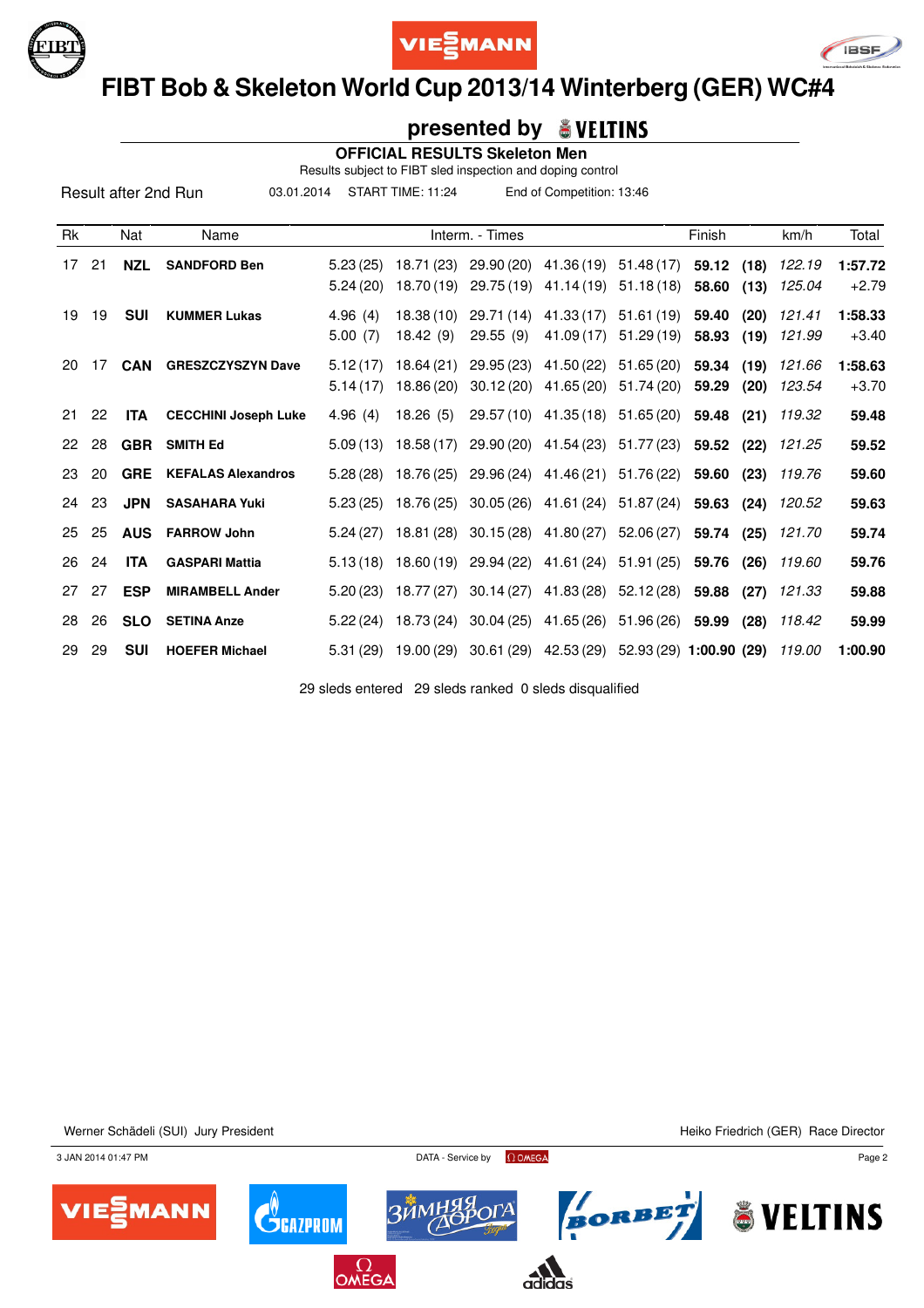





### **FIBT Bob & Skeleton World Cup 2013/14 Winterberg (GER) WC#4**

#### **presented by**

 **OFFICIAL RESULTS Skeleton Men**

Results subject to FIBT sled inspection and doping control

03.01.2014 START TIME: 11:24 End of Competition: 13:46

| Rk |    | Nat        | Name                        |                      |                          | Interm. - Times                                          |                                                           |                          | Finish         |              | km/h             | Total              |
|----|----|------------|-----------------------------|----------------------|--------------------------|----------------------------------------------------------|-----------------------------------------------------------|--------------------------|----------------|--------------|------------------|--------------------|
| 17 | 21 | <b>NZL</b> | <b>SANDFORD Ben</b>         | 5.23(25)<br>5.24(20) | 18.71 (23)<br>18.70 (19) |                                                          | 29.90 (20) 41.36 (19) 51.48 (17)<br>29.75 (19) 41.14 (19) | 51.18(18)                | 59.12<br>58.60 | (18)<br>(13) | 122.19<br>125.04 | 1:57.72<br>$+2.79$ |
| 19 | 19 | <b>SUI</b> | <b>KUMMER Lukas</b>         | 4.96(4)<br>5.00(7)   | 18.38(10)<br>18.42(9)    | 29.71 (14)<br>29.55(9)                                   | 41.33 (17)<br>41.09 (17)                                  | 51.61(19)<br>51.29 (19)  | 59.40<br>58.93 | (20)<br>(19) | 121.41<br>121.99 | 1:58.33<br>$+3.40$ |
| 20 | 17 | <b>CAN</b> | <b>GRESZCZYSZYN Dave</b>    | 5.12(17)<br>5.14(17) | 18.64 (21)<br>18.86 (20) | 29.95(23)<br>30.12(20)                                   | 41.50 (22)<br>41.65 (20)                                  | 51.65 (20)<br>51.74 (20) | 59.34<br>59.29 | (19)<br>(20) | 121.66<br>123.54 | 1:58.63<br>$+3.70$ |
| 21 | 22 | ITA        | <b>CECCHINI Joseph Luke</b> | 4.96(4)              | 18.26(5)                 |                                                          | 29.57 (10) 41.35 (18) 51.65 (20) 59.48 (21) 119.32        |                          |                |              |                  | 59.48              |
| 22 | 28 | <b>GBR</b> | <b>SMITH Ed</b>             | 5.09(13)             | 18.58(17)                |                                                          | 29.90 (20) 41.54 (23) 51.77 (23) 59.52                    |                          |                | (22)         | 121.25           | 59.52              |
| 23 | 20 | <b>GRE</b> | <b>KEFALAS Alexandros</b>   | 5.28(28)             |                          | 18.76 (25) 29.96 (24) 41.46 (21) 51.76 (22) 59.60        |                                                           |                          |                | (23)         | 119.76           | 59.60              |
| 24 | 23 | JPN        | <b>SASAHARA Yuki</b>        | 5.23(25)             | 18.76 (25)               |                                                          | 30.05 (26) 41.61 (24) 51.87 (24) 59.63                    |                          |                | (24)         | 120.52           | 59.63              |
| 25 | 25 | <b>AUS</b> | <b>FARROW John</b>          | 5.24(27)             |                          | 18.81 (28) 30.15 (28) 41.80 (27) 52.06 (27) 59.74 (25)   |                                                           |                          |                |              | 121.70           | 59.74              |
| 26 | 24 | <b>ITA</b> | <b>GASPARI Mattia</b>       | 5.13(18)             |                          | 18.60 (19) 29.94 (22) 41.61 (24) 51.91 (25)              |                                                           |                          | 59.76          | (26)         | 119.60           | 59.76              |
| 27 | 27 | <b>ESP</b> | <b>MIRAMBELL Ander</b>      | 5.20(23)             |                          | 18.77 (27) 30.14 (27) 41.83 (28) 52.12 (28)              |                                                           |                          | 59.88          | (27)         | 121.33           | 59.88              |
| 28 | 26 | <b>SLO</b> | <b>SETINA Anze</b>          | 5.22(24)             | 18.73 (24)               |                                                          | 30.04 (25) 41.65 (26) 51.96 (26)                          |                          | 59.99          | (28)         | 118.42           | 59.99              |
| 29 | 29 | <b>SUI</b> | <b>HOEFER Michael</b>       | 5.31(29)             |                          | 19.00 (29) 30.61 (29) 42.53 (29) 52.93 (29) 1:00.90 (29) |                                                           |                          |                |              | 119.00           | 1:00.90            |

29 sleds entered 29 sleds ranked 0 sleds disqualified

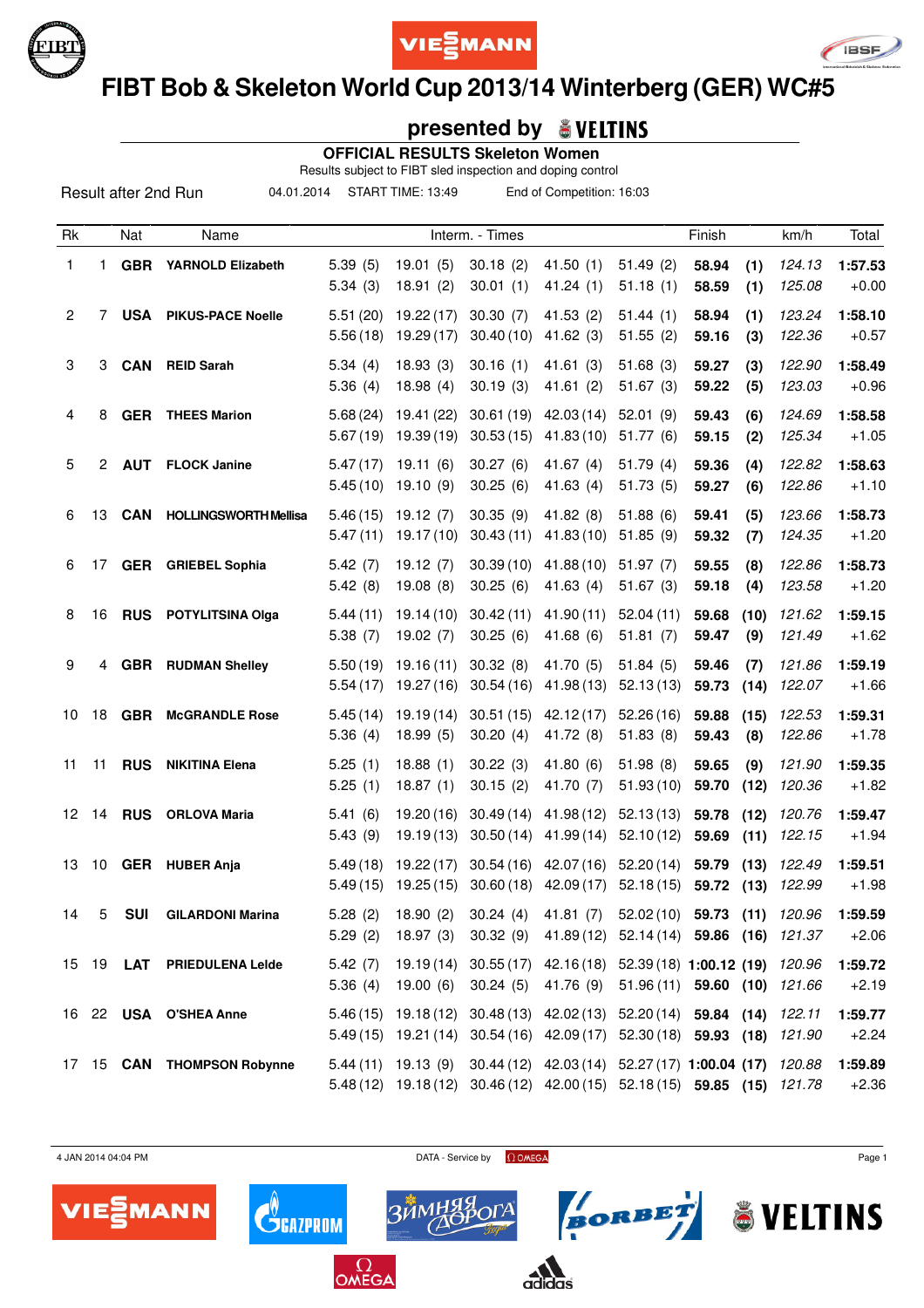





# **FIBT Bob & Skeleton World Cup 2013/14 Winterberg (GER) WC#5**

### **presented by**

 **OFFICIAL RESULTS Skeleton Women**

Results subject to FIBT sled inspection and doping control

04.01.2014 START TIME: 13:49 End of Competition: 16:03

| Rk             |    | Nat        | Name                         |                      |                          | Interm. - Times        |                                                                                                                                                     |                        | Finish         |              | km/h             | Total              |
|----------------|----|------------|------------------------------|----------------------|--------------------------|------------------------|-----------------------------------------------------------------------------------------------------------------------------------------------------|------------------------|----------------|--------------|------------------|--------------------|
| 1              | 1  |            | <b>GBR</b> YARNOLD Elizabeth | 5.39(5)<br>5.34(3)   | 19.01(5)<br>18.91(2)     | 30.18(2)<br>30.01(1)   | 41.50(1)<br>41.24(1)                                                                                                                                | 51.49(2)<br>51.18(1)   | 58.94<br>58.59 | (1)<br>(1)   | 124.13<br>125.08 | 1:57.53<br>$+0.00$ |
| $\overline{2}$ | 7  | <b>USA</b> | <b>PIKUS-PACE Noelle</b>     | 5.51(20)<br>5.56(18) | 19.22(17)<br>19.29 (17)  | 30.30(7)<br>30.40(10)  | 41.53(2)<br>41.62(3)                                                                                                                                | 51.44(1)<br>51.55(2)   | 58.94<br>59.16 | (1)<br>(3)   | 123.24<br>122.36 | 1:58.10<br>$+0.57$ |
| 3              | 3  | <b>CAN</b> | <b>REID Sarah</b>            | 5.34(4)<br>5.36(4)   | 18.93(3)<br>18.98(4)     | 30.16(1)<br>30.19(3)   | 41.61(3)<br>41.61(2)                                                                                                                                | 51.68(3)<br>51.67(3)   | 59.27<br>59.22 | (3)<br>(5)   | 122.90<br>123.03 | 1:58.49<br>$+0.96$ |
| 4              | 8  | <b>GER</b> | <b>THEES Marion</b>          | 5.68(24)<br>5.67(19) | 19.41 (22)<br>19.39 (19) | 30.61(19)<br>30.53(15) | 42.03(14)<br>41.83(10)                                                                                                                              | 52.01(9)<br>51.77(6)   | 59.43<br>59.15 | (6)<br>(2)   | 124.69<br>125.34 | 1:58.58<br>$+1.05$ |
| 5              | 2  | <b>AUT</b> | <b>FLOCK Janine</b>          | 5.47(17)<br>5.45(10) | 19.11(6)<br>19.10(9)     | 30.27(6)<br>30.25(6)   | 41.67 (4)<br>41.63(4)                                                                                                                               | 51.79(4)<br>51.73(5)   | 59.36<br>59.27 | (4)<br>(6)   | 122.82<br>122.86 | 1:58.63<br>$+1.10$ |
| 6              | 13 | <b>CAN</b> | <b>HOLLINGSWORTH Mellisa</b> | 5.46(15)<br>5.47(11) | 19.12(7)<br>19.17(10)    | 30.35(9)<br>30.43(11)  | 41.82(8)<br>41.83(10)                                                                                                                               | 51.88(6)<br>51.85(9)   | 59.41<br>59.32 | (5)<br>(7)   | 123.66<br>124.35 | 1:58.73<br>$+1.20$ |
| 6              | 17 |            | <b>GER</b> GRIEBEL Sophia    | 5.42(7)<br>5.42(8)   | 19.12(7)<br>19.08(8)     | 30.39(10)<br>30.25(6)  | 41.88(10)<br>41.63(4)                                                                                                                               | 51.97(7)<br>51.67(3)   | 59.55<br>59.18 | (8)<br>(4)   | 122.86<br>123.58 | 1:58.73<br>$+1.20$ |
| 8              | 16 |            | <b>RUS</b> POTYLITSINA Olga  | 5.44(11)<br>5.38(7)  | 19.14 (10)<br>19.02(7)   | 30.42(11)<br>30.25(6)  | 41.90(11)<br>41.68(6)                                                                                                                               | 52.04(11)<br>51.81(7)  | 59.68<br>59.47 | (10)<br>(9)  | 121.62<br>121.49 | 1:59.15<br>$+1.62$ |
| 9              | 4  | <b>GBR</b> | <b>RUDMAN Shelley</b>        | 5.50(19)<br>5.54(17) | 19.16(11)<br>19.27 (16)  | 30.32(8)<br>30.54(16)  | 41.70 (5)<br>41.98 (13)                                                                                                                             | 51.84(5)<br>52.13(13)  | 59.46<br>59.73 | (7)<br>(14)  | 121.86<br>122.07 | 1:59.19<br>$+1.66$ |
| 10             | 18 | <b>GBR</b> | <b>McGRANDLE Rose</b>        | 5.45(14)<br>5.36(4)  | 19.19(14)<br>18.99(5)    | 30.51(15)<br>30.20(4)  | 42.12(17)<br>41.72 (8)                                                                                                                              | 52.26(16)<br>51.83(8)  | 59.88<br>59.43 | (15)<br>(8)  | 122.53<br>122.86 | 1:59.31<br>$+1.78$ |
| 11             | 11 | <b>RUS</b> | <b>NIKITINA Elena</b>        | 5.25(1)<br>5.25(1)   | 18.88(1)<br>18.87(1)     | 30.22(3)<br>30.15(2)   | 41.80(6)<br>41.70 (7)                                                                                                                               | 51.98(8)<br>51.93(10)  | 59.65<br>59.70 | (9)<br>(12)  | 121.90<br>120.36 | 1:59.35<br>$+1.82$ |
| 12             | 14 | <b>RUS</b> | <b>ORLOVA Maria</b>          | 5.41(6)<br>5.43(9)   | 19.20(16)<br>19.19(13)   | 30.49(14)<br>30.50(14) | 41.98 (12)<br>41.99(14)                                                                                                                             | 52.13(13)<br>52.10(12) | 59.78<br>59.69 | (12)<br>(11) | 120.76<br>122.15 | 1:59.47<br>$+1.94$ |
| 13             | 10 | <b>GER</b> | <b>HUBER Anja</b>            | 5.49(18)<br>5.49(15) | 19.22(17)<br>19.25 (15)  | 30.54(16)<br>30.60(18) | 42.07 (16)<br>42.09 (17)                                                                                                                            | 52.20(14)<br>52.18(15) | 59.79<br>59.72 | (13)<br>(13) | 122.49<br>122.99 | 1:59.51<br>$+1.98$ |
| 14             | 5  | <b>SUI</b> | <b>GILARDONI Marina</b>      |                      |                          |                        | 5.28 (2) 18.90 (2) 30.24 (4) 41.81 (7) 52.02 (10) 59.73 (11) 120.96<br>5.29 (2) 18.97 (3) 30.32 (9) 41.89 (12) 52.14 (14) 59.86 (16) 121.37         |                        |                |              |                  | 1:59.59<br>$+2.06$ |
|                |    |            | 15 19 LAT PRIEDULENA Lelde   | 5.42(7)              | $5.36(4)$ 19.00 (6)      | 30.24(5)               | 19.19 (14) 30.55 (17) 42.16 (18) 52.39 (18) 1:00.12 (19) 120.96<br>41.76 (9) 51.96 (11) 59.60 (10) 121.66                                           |                        |                |              |                  | 1:59.72<br>$+2.19$ |
|                |    |            | 16 22 USA O'SHEA Anne        |                      |                          |                        | 5.46 (15) 19.18 (12) 30.48 (13) 42.02 (13) 52.20 (14) 59.84 (14)<br>5.49 (15) 19.21 (14) 30.54 (16) 42.09 (17) 52.30 (18) 59.93 (18) 121.90         |                        |                |              | 122.11           | 1:59.77<br>$+2.24$ |
|                |    |            | 17 15 CAN THOMPSON Robynne   |                      |                          |                        | 5.44 (11) 19.13 (9) 30.44 (12) 42.03 (14) 52.27 (17) 1:00.04 (17) 120.88<br>5.48 (12) 19.18 (12) 30.46 (12) 42.00 (15) 52.18 (15) 59.85 (15) 121.78 |                        |                |              |                  | 1:59.89<br>$+2.36$ |

4 JAN 2014 04:04 PM Page 1

**BORBET** ÖVELTINS



 $\mathbf{C}^{\!\!\left( \! \begin{array}{c} \scriptstyle{ \pmb{\scriptstyle{ \hspace{.1em} \scriptstyle{ \hspace{.1em} \hspace{.1em} \scriptstyle{ \hspace{.1em} \hspace{.1em} \hspace{.1em} \hspace{.1em} \hspace{.1em} \hspace{.1em} \hspace{.1em} \hspace{.1em} \hspace{.1em} \hspace{.1em} \hspace{.1em} \hspace{.1em} \hspace{.1em} \hspace{.1em} \hspace{.1em} \end{array}}$ 

 $\Omega_{\mathsf{OMEGA}}$